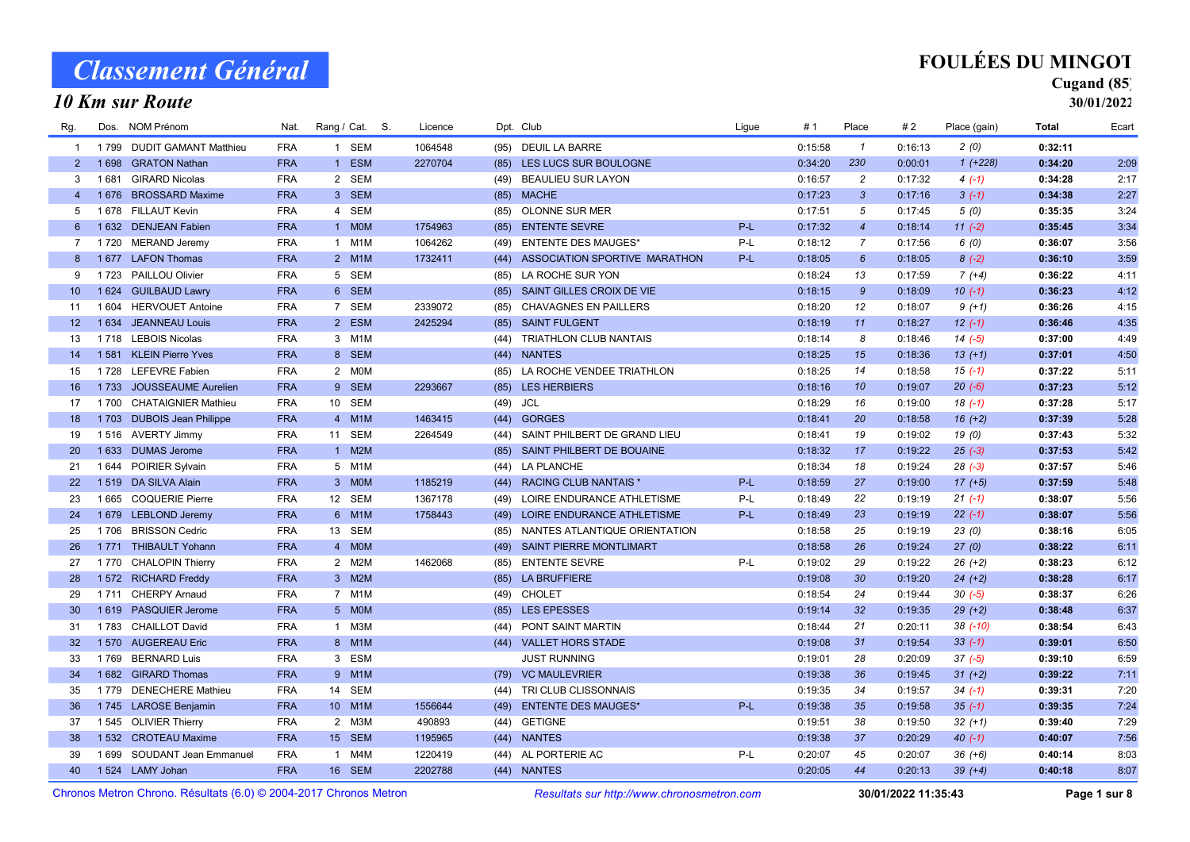#### 10 Km sur Route

### Cugand (85)

| Rg.                                                               | Dos.    | NOM Prénom                  | Nat.       | Rang / Cat. S. |  | Licence |                                            | Dpt. Club                     | Ligue | # 1     | Place            | #2      | Place (gain) | Total   | Ecart |
|-------------------------------------------------------------------|---------|-----------------------------|------------|----------------|--|---------|--------------------------------------------|-------------------------------|-------|---------|------------------|---------|--------------|---------|-------|
| $\mathbf{1}$                                                      |         | 1799 DUDIT GAMANT Matthieu  | <b>FRA</b> | 1 SEM          |  | 1064548 | (95)                                       | <b>DEUIL LA BARRE</b>         |       | 0:15:58 | $\overline{1}$   | 0:16:13 | 2(0)         | 0:32:11 |       |
| $2^{\circ}$                                                       | 1698    | <b>GRATON Nathan</b>        | <b>FRA</b> | 1 ESM          |  | 2270704 | (85)                                       | LES LUCS SUR BOULOGNE         |       | 0:34:20 | 230              | 0:00:01 | $1(+228)$    | 0:34:20 | 2:09  |
| 3                                                                 | 1681    | <b>GIRARD Nicolas</b>       | <b>FRA</b> | 2 SEM          |  |         | (49)                                       | <b>BEAULIEU SUR LAYON</b>     |       | 0:16:57 | $\overline{c}$   | 0:17:32 | $4(-1)$      | 0:34:28 | 2:17  |
| $\overline{4}$                                                    | 1676    | <b>BROSSARD Maxime</b>      | <b>FRA</b> | 3 SEM          |  |         | (85)                                       | <b>MACHE</b>                  |       | 0:17:23 | $\mathbf{3}$     | 0:17:16 | $3(-1)$      | 0:34:38 | 2:27  |
| 5                                                                 |         | 1678 FILLAUT Kevin          | <b>FRA</b> | 4 SEM          |  |         | (85)                                       | OLONNE SUR MER                |       | 0:17:51 | 5                | 0:17:45 | 5(0)         | 0:35:35 | 3:24  |
| 6                                                                 |         | 1 632 DENJEAN Fabien        | <b>FRA</b> | 1 MOM          |  | 1754963 | (85)                                       | <b>ENTENTE SEVRE</b>          | P-L   | 0:17:32 | $\overline{4}$   | 0:18:14 | $11 (-2)$    | 0:35:45 | 3:34  |
| $7^{\circ}$                                                       |         | 1720 MERAND Jeremy          | <b>FRA</b> | 1 M1M          |  | 1064262 | (49)                                       | <b>ENTENTE DES MAUGES*</b>    | P-L   | 0:18:12 | $\overline{7}$   | 0:17:56 | 6(0)         | 0:36:07 | 3:56  |
| 8                                                                 |         | 1677 LAFON Thomas           | <b>FRA</b> | 2 M1M          |  | 1732411 | (44)                                       | ASSOCIATION SPORTIVE MARATHON | P-L   | 0:18:05 | $6\overline{6}$  | 0:18:05 | $8(-2)$      | 0:36:10 | 3:59  |
| 9                                                                 |         | 1723 PAILLOU Olivier        | <b>FRA</b> | 5 SEM          |  |         | (85)                                       | LA ROCHE SUR YON              |       | 0:18:24 | 13               | 0:17:59 | $7(+4)$      | 0:36:22 | 4:11  |
| 10                                                                |         | 1 624 GUILBAUD Lawry        | <b>FRA</b> | 6 SEM          |  |         | (85)                                       | SAINT GILLES CROIX DE VIE     |       | 0:18:15 | $\mathcal{G}$    | 0:18:09 | $10(-1)$     | 0:36:23 | 4:12  |
| 11                                                                | 1 604   | <b>HERVOUET Antoine</b>     | <b>FRA</b> | 7 SEM          |  | 2339072 | (85)                                       | <b>CHAVAGNES EN PAILLERS</b>  |       | 0:18:20 | 12               | 0:18:07 | $9(+1)$      | 0:36:26 | 4:15  |
| 12 <sup>2</sup>                                                   | 1 6 3 4 | <b>JEANNEAU Louis</b>       | <b>FRA</b> | 2 ESM          |  | 2425294 | (85)                                       | <b>SAINT FULGENT</b>          |       | 0:18:19 | 11               | 0:18:27 | $12(-1)$     | 0:36:46 | 4:35  |
| 13                                                                |         | 1718 LEBOIS Nicolas         | <b>FRA</b> | 3 M1M          |  |         | (44)                                       | TRIATHLON CLUB NANTAIS        |       | 0:18:14 | 8                | 0:18:46 | $14(-5)$     | 0:37:00 | 4:49  |
| 14                                                                |         | 1581 KLEIN Pierre Yves      | <b>FRA</b> | 8 SEM          |  |         | (44)                                       | <b>NANTES</b>                 |       | 0:18:25 | 15               | 0:18:36 | $13(+1)$     | 0:37:01 | 4:50  |
| 15                                                                |         | 1728 LEFEVRE Fabien         | <b>FRA</b> | 2 MOM          |  |         | (85)                                       | LA ROCHE VENDEE TRIATHLON     |       | 0:18:25 | 14               | 0:18:58 | $15( -1)$    | 0:37:22 | 5:11  |
| 16                                                                |         | 1733 JOUSSEAUME Aurelien    | <b>FRA</b> | 9 SEM          |  | 2293667 | (85)                                       | <b>LES HERBIERS</b>           |       | 0:18:16 | 10 <sup>10</sup> | 0:19:07 | $20(-6)$     | 0:37:23 | 5:12  |
| 17                                                                |         | 1700 CHATAIGNIER Mathieu    | <b>FRA</b> | 10 SEM         |  |         | (49)                                       | JCL                           |       | 0:18:29 | 16               | 0:19:00 | $18( -1)$    | 0:37:28 | 5:17  |
| 18                                                                |         | 1703 DUBOIS Jean Philippe   | <b>FRA</b> | 4 M1M          |  | 1463415 | (44)                                       | <b>GORGES</b>                 |       | 0:18:41 | 20               | 0:18:58 | $16 (+2)$    | 0:37:39 | 5:28  |
| 19                                                                |         | 1516 AVERTY Jimmy           | <b>FRA</b> | 11 SEM         |  | 2264549 | (44)                                       | SAINT PHILBERT DE GRAND LIEU  |       | 0:18:41 | 19               | 0:19:02 | 19(0)        | 0:37:43 | 5:32  |
| 20                                                                |         | 1 633 DUMAS Jerome          | <b>FRA</b> | 1 M2M          |  |         | (85)                                       | SAINT PHILBERT DE BOUAINE     |       | 0:18:32 | 17               | 0:19:22 | $25(-3)$     | 0:37:53 | 5:42  |
| 21                                                                |         | 1 644 POIRIER Sylvain       | <b>FRA</b> | 5 M1M          |  |         | (44)                                       | LA PLANCHE                    |       | 0:18:34 | 18               | 0:19:24 | $28(-3)$     | 0:37:57 | 5:46  |
| 22                                                                |         | 1519 DA SILVA Alain         | <b>FRA</b> | 3 MOM          |  | 1185219 |                                            | (44) RACING CLUB NANTAIS *    | P-L   | 0:18:59 | 27               | 0:19:00 | $17 (+5)$    | 0:37:59 | 5:48  |
| 23                                                                |         | 1665 COQUERIE Pierre        | <b>FRA</b> | 12 SEM         |  | 1367178 | (49)                                       | LOIRE ENDURANCE ATHLETISME    | P-L   | 0:18:49 | 22               | 0:19:19 | $21(-1)$     | 0:38:07 | 5:56  |
| 24                                                                |         | 1679 LEBLOND Jeremy         | <b>FRA</b> | 6 M1M          |  | 1758443 | (49)                                       | LOIRE ENDURANCE ATHLETISME    | $P-L$ | 0:18:49 | 23               | 0:19:19 | $22(-1)$     | 0:38:07 | 5:56  |
| 25                                                                |         | 1706 BRISSON Cedric         | <b>FRA</b> | 13 SEM         |  |         | (85)                                       | NANTES ATLANTIQUE ORIENTATION |       | 0:18:58 | 25               | 0:19:19 | 23(0)        | 0:38:16 | 6:05  |
| 26                                                                |         | 1771 THIBAULT Yohann        | <b>FRA</b> | 4 MOM          |  |         |                                            | (49) SAINT PIERRE MONTLIMART  |       | 0:18:58 | 26               | 0:19:24 | 27(0)        | 0:38:22 | 6:11  |
| 27                                                                |         | 1770 CHALOPIN Thierry       | <b>FRA</b> | 2 M2M          |  | 1462068 | (85)                                       | <b>ENTENTE SEVRE</b>          | P-L   | 0:19:02 | 29               | 0:19:22 | $26 (+2)$    | 0:38:23 | 6:12  |
| 28                                                                |         | 1 572 RICHARD Freddy        | <b>FRA</b> | 3 M2M          |  |         | (85)                                       | <b>LA BRUFFIERE</b>           |       | 0:19:08 | 30               | 0:19:20 | $24 (+2)$    | 0:38:28 | 6:17  |
| 29                                                                |         | 1711 CHERPY Arnaud          | <b>FRA</b> | 7 M1M          |  |         | (49)                                       | <b>CHOLET</b>                 |       | 0:18:54 | 24               | 0:19:44 | $30(-5)$     | 0:38:37 | 6:26  |
| 30 <sup>°</sup>                                                   |         | 1619 PASQUIER Jerome        | <b>FRA</b> | 5 MOM          |  |         | (85)                                       | LES EPESSES                   |       | 0:19:14 | 32 <sup>2</sup>  | 0:19:35 | $29 (+2)$    | 0:38:48 | 6:37  |
| 31                                                                |         | 1783 CHAILLOT David         | <b>FRA</b> | 1 M3M          |  |         | (44)                                       | PONT SAINT MARTIN             |       | 0:18:44 | 21               | 0:20:11 | $38$ $(-10)$ | 0:38:54 | 6:43  |
| 32                                                                |         | 1570 AUGEREAU Eric          | <b>FRA</b> | 8 M1M          |  |         |                                            | (44) VALLET HORS STADE        |       | 0:19:08 | 31               | 0:19:54 | $33(-1)$     | 0:39:01 | 6:50  |
| 33                                                                |         | 1769 BERNARD Luis           | <b>FRA</b> | 3 ESM          |  |         |                                            | <b>JUST RUNNING</b>           |       | 0:19:01 | 28               | 0:20:09 | $37(-5)$     | 0:39:10 | 6:59  |
| 34                                                                |         | 1682 GIRARD Thomas          | <b>FRA</b> | 9 M1M          |  |         |                                            | (79) VC MAULEVRIER            |       | 0:19:38 | 36               | 0:19:45 | $31 (+2)$    | 0:39:22 | 7:11  |
| 35                                                                |         | 1779 DENECHERE Mathieu      | <b>FRA</b> | 14 SEM         |  |         | (44)                                       | TRI CLUB CLISSONNAIS          |       | 0:19:35 | 34               | 0:19:57 | $34(-1)$     | 0:39:31 | 7:20  |
| 36                                                                |         | 1745 LAROSE Benjamin        | <b>FRA</b> | 10 M1M         |  | 1556644 | (49)                                       | <b>ENTENTE DES MAUGES*</b>    | $P-L$ | 0:19:38 | 35               | 0:19:58 | $35(-1)$     | 0:39:35 | 7:24  |
| 37                                                                |         | 1 545 OLIVIER Thierry       | <b>FRA</b> | 2 M3M          |  | 490893  | (44)                                       | <b>GETIGNE</b>                |       | 0:19:51 | 38               | 0:19:50 | $32 (+1)$    | 0:39:40 | 7:29  |
| 38                                                                |         | 1 532 CROTEAU Maxime        | <b>FRA</b> | 15 SEM         |  | 1195965 |                                            | (44) NANTES                   |       | 0:19:38 | 37               | 0:20:29 | $40(-1)$     | 0:40:07 | 7:56  |
| 39                                                                |         | 1 699 SOUDANT Jean Emmanuel | <b>FRA</b> | 1 M4M          |  | 1220419 |                                            | (44) AL PORTERIE AC           | P-L   | 0:20:07 | 45               | 0:20:07 | $36 (+6)$    | 0:40:14 | 8:03  |
| 40                                                                |         | 1524 LAMY Johan             | <b>FRA</b> | 16 SEM         |  | 2202788 |                                            | (44) NANTES                   |       | 0:20:05 | 44               | 0:20:13 | $39 (+4)$    | 0:40:18 | 8:07  |
| Chronos Metron Chrono, Résultats (6.0) © 2004-2017 Chronos Metron |         |                             |            |                |  |         | Resultats sur http://www.chronosmetron.com | 30/01/2022 11:35:43           |       |         | Page 1 sur 8     |         |              |         |       |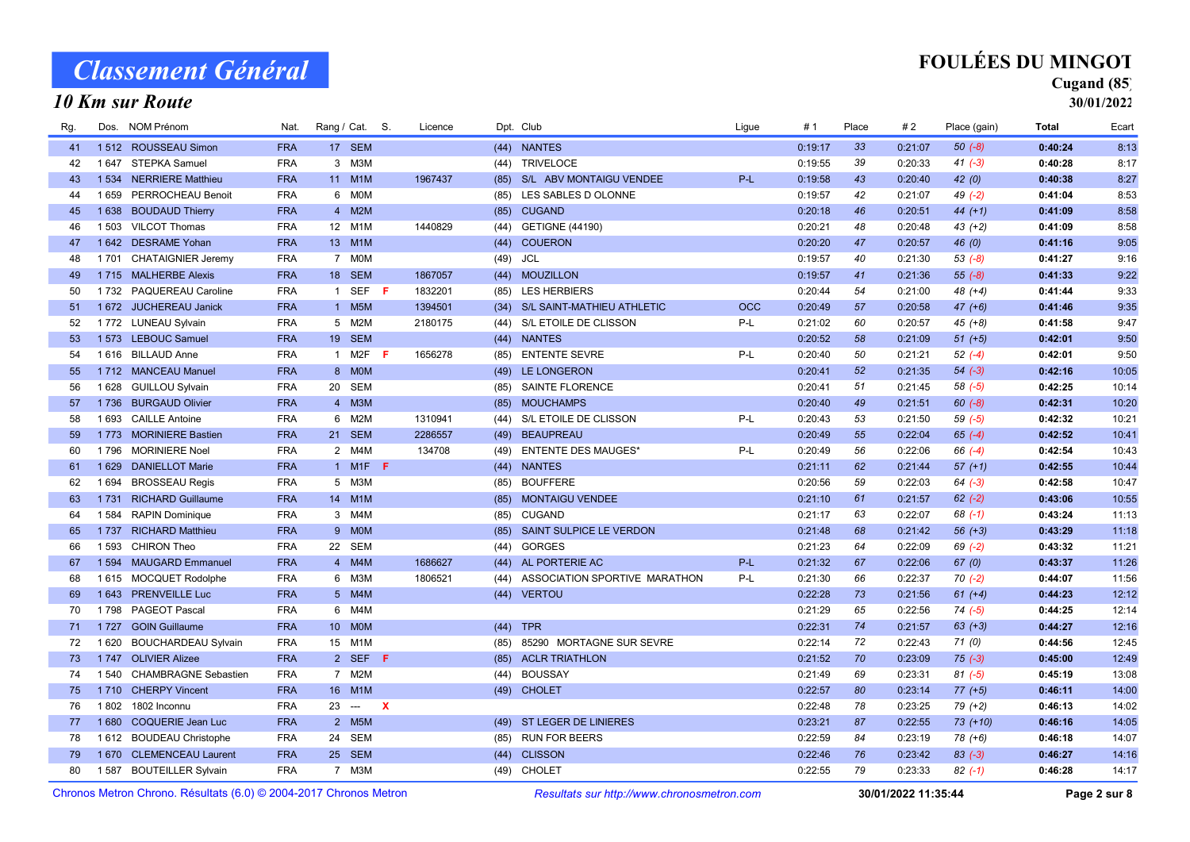### 10 Km sur Route

## FOULÉES DU MINGOT

### Cugand (85)

| Rg.                                                               | Dos.    | NOM Prénom                 | Nat.       | Rang / Cat. S.  |                          |                           | Licence |                                            | Dpt. Club                       | Ligue      | #1      | Place           | #2      | Place (gain) | Total   | Ecart |
|-------------------------------------------------------------------|---------|----------------------------|------------|-----------------|--------------------------|---------------------------|---------|--------------------------------------------|---------------------------------|------------|---------|-----------------|---------|--------------|---------|-------|
| 41                                                                |         | 1512 ROUSSEAU Simon        | <b>FRA</b> |                 | 17 SEM                   |                           |         |                                            | (44) NANTES                     |            | 0:19:17 | 33 <sup>3</sup> | 0:21:07 | $50(-8)$     | 0:40:24 | 8:13  |
| 42                                                                | 1 647   | STEPKA Samuel              | <b>FRA</b> |                 | 3 M3M                    |                           |         | (44)                                       | <b>TRIVELOCE</b>                |            | 0:19:55 | 39              | 0:20:33 | $41 (-3)$    | 0:40:28 | 8:17  |
| 43                                                                |         | 1534 NERRIERE Matthieu     | <b>FRA</b> |                 | 11 M1M                   |                           | 1967437 |                                            | (85) S/L ABV MONTAIGU VENDEE    | $P-L$      | 0:19:58 | 43              | 0:20:40 | 42(0)        | 0:40:38 | 8:27  |
| 44                                                                | 1659    | PERROCHEAU Benoit          | <b>FRA</b> |                 | 6 MOM                    |                           |         | (85)                                       | LES SABLES D OLONNE             |            | 0:19:57 | 42              | 0:21:07 | $49(-2)$     | 0:41:04 | 8:53  |
| 45                                                                |         | 1638 BOUDAUD Thierry       | <b>FRA</b> |                 | 4 M2M                    |                           |         |                                            | (85) CUGAND                     |            | 0:20:18 | 46              | 0:20:51 | $44 (+1)$    | 0:41:09 | 8:58  |
| 46                                                                | 1 503   | <b>VILCOT Thomas</b>       | <b>FRA</b> |                 | 12 M1M                   |                           | 1440829 | (44)                                       | <b>GETIGNE (44190)</b>          |            | 0:20:21 | 48              | 0:20:48 | $43 (+2)$    | 0:41:09 | 8:58  |
| 47                                                                |         | 1642 DESRAME Yohan         | <b>FRA</b> |                 | 13 M1M                   |                           |         | (44)                                       | <b>COUERON</b>                  |            | 0:20:20 | 47              | 0:20:57 | 46(0)        | 0:41:16 | 9:05  |
| 48                                                                | 1 7 0 1 | <b>CHATAIGNIER Jeremy</b>  | <b>FRA</b> |                 | 7 MOM                    |                           |         | (49)                                       | JCL                             |            | 0:19:57 | 40              | 0:21:30 | $53(-8)$     | 0:41:27 | 9:16  |
| 49                                                                |         | 1715 MALHERBE Alexis       | <b>FRA</b> |                 | 18 SEM                   |                           | 1867057 |                                            | (44) MOUZILLON                  |            | 0:19:57 | 41              | 0:21:36 | $55(-8)$     | 0:41:33 | 9:22  |
| 50                                                                |         | 1732 PAQUEREAU Caroline    | <b>FRA</b> |                 | 1 SEF                    | -F                        | 1832201 | (85)                                       | <b>LES HERBIERS</b>             |            | 0:20:44 | 54              | 0:21:00 | $48 (+4)$    | 0:41:44 | 9:33  |
| 51                                                                |         | 1 672 JUCHEREAU Janick     | <b>FRA</b> |                 | 1 M5M                    |                           | 1394501 |                                            | (34) S/L SAINT-MATHIEU ATHLETIC | <b>OCC</b> | 0:20:49 | 57              | 0:20:58 | $47 (+6)$    | 0:41:46 | 9:35  |
| 52                                                                |         | 1772 LUNEAU Sylvain        | <b>FRA</b> |                 | 5 M2M                    |                           | 2180175 | (44)                                       | S/L ETOILE DE CLISSON           | P-L        | 0:21:02 | 60              | 0:20:57 | $45 (+8)$    | 0:41:58 | 9:47  |
| 53                                                                |         | 1573 LEBOUC Samuel         | <b>FRA</b> |                 | 19 SEM                   |                           |         |                                            | (44) NANTES                     |            | 0:20:52 | 58              | 0:21:09 | $51 (+5)$    | 0:42:01 | 9:50  |
| 54                                                                |         | 1616 BILLAUD Anne          | <b>FRA</b> |                 | 1 M2F                    | -F                        | 1656278 | (85)                                       | <b>ENTENTE SEVRE</b>            | P-L        | 0:20:40 | 50              | 0:21:21 | $52(-4)$     | 0:42:01 | 9:50  |
| -55                                                               |         | 1712 MANCEAU Manuel        | <b>FRA</b> |                 | 8 MOM                    |                           |         | (49)                                       | LE LONGERON                     |            | 0:20:41 | 52              | 0:21:35 | $54 (-3)$    | 0:42:16 | 10:05 |
| 56                                                                |         | 1 628 GUILLOU Sylvain      | <b>FRA</b> |                 | 20 SEM                   |                           |         | (85)                                       | <b>SAINTE FLORENCE</b>          |            | 0:20:41 | 51              | 0:21:45 | $58(-5)$     | 0:42:25 | 10:14 |
| 57                                                                |         | 1736 BURGAUD Olivier       | <b>FRA</b> |                 | 4 M3M                    |                           |         | (85)                                       | <b>MOUCHAMPS</b>                |            | 0:20:40 | 49              | 0:21:51 | $60 (-8)$    | 0:42:31 | 10:20 |
| 58                                                                | 1693    | <b>CAILLE Antoine</b>      | <b>FRA</b> | 6               | M2M                      |                           | 1310941 | (44)                                       | S/L ETOILE DE CLISSON           | P-L        | 0:20:43 | 53              | 0:21:50 | $59(-5)$     | 0:42:32 | 10:21 |
| 59                                                                |         | 1773 MORINIERE Bastien     | <b>FRA</b> |                 | 21 SEM                   |                           | 2286557 | (49)                                       | <b>BEAUPREAU</b>                |            | 0:20:49 | 55              | 0:22:04 | $65 (-4)$    | 0:42:52 | 10:41 |
| 60                                                                | 1796    | <b>MORINIERE Noel</b>      | <b>FRA</b> |                 | 2 M4M                    |                           | 134708  | (49)                                       | <b>ENTENTE DES MAUGES*</b>      | P-L        | 0:20:49 | 56              | 0:22:06 | $66(-4)$     | 0:42:54 | 10:43 |
| 61                                                                | 1629    | <b>DANIELLOT Marie</b>     | <b>FRA</b> |                 | 1 M1F <b>F</b>           |                           |         | (44)                                       | <b>NANTES</b>                   |            | 0:21:11 | 62              | 0:21:44 | $57 (+1)$    | 0:42:55 | 10:44 |
| 62                                                                | 1 6 9 4 | <b>BROSSEAU Regis</b>      | <b>FRA</b> |                 | 5 M3M                    |                           |         | (85)                                       | <b>BOUFFERE</b>                 |            | 0:20:56 | 59              | 0:22:03 | $64 (-3)$    | 0:42:58 | 10:47 |
| 63                                                                | 1 7 3 1 | <b>RICHARD Guillaume</b>   | <b>FRA</b> |                 | 14 M1M                   |                           |         | (85)                                       | <b>MONTAIGU VENDEE</b>          |            | 0:21:10 | 61              | 0:21:57 | $62 (-2)$    | 0:43:06 | 10:55 |
| 64                                                                | 1584    | <b>RAPIN Dominique</b>     | <b>FRA</b> |                 | 3 M4M                    |                           |         | (85)                                       | <b>CUGAND</b>                   |            | 0:21:17 | 63              | 0:22:07 | $68$ $(-1)$  | 0:43:24 | 11:13 |
| 65                                                                | 1 7 3 7 | <b>RICHARD Matthieu</b>    | <b>FRA</b> |                 | 9 MOM                    |                           |         | (85)                                       | SAINT SULPICE LE VERDON         |            | 0:21:48 | 68              | 0:21:42 | $56 (+3)$    | 0:43:29 | 11:18 |
| 66                                                                | 1 5 9 3 | <b>CHIRON Theo</b>         | <b>FRA</b> | 22              | SEM                      |                           |         | (44)                                       | <b>GORGES</b>                   |            | 0:21:23 | 64              | 0:22:09 | $69$ $(-2)$  | 0:43:32 | 11:21 |
| 67                                                                | 1 5 9 4 | <b>MAUGARD Emmanuel</b>    | <b>FRA</b> |                 | 4 M4M                    |                           | 1686627 | (44)                                       | AL PORTERIE AC                  | P-L        | 0:21:32 | 67              | 0:22:06 | 67(0)        | 0:43:37 | 11:26 |
| 68                                                                |         | 1615 MOCQUET Rodolphe      | <b>FRA</b> |                 | 6 M3M                    |                           | 1806521 | (44)                                       | ASSOCIATION SPORTIVE MARATHON   | P-L        | 0:21:30 | 66              | 0:22:37 | $70(-2)$     | 0:44:07 | 11:56 |
| 69                                                                | 1 6 4 3 | <b>PRENVEILLE Luc</b>      | <b>FRA</b> |                 | 5 M4M                    |                           |         | (44)                                       | <b>VERTOU</b>                   |            | 0:22:28 | 73              | 0:21:56 | $61 (+4)$    | 0:44:23 | 12:12 |
| 70                                                                |         | 1798 PAGEOT Pascal         | <b>FRA</b> |                 | 6 M4M                    |                           |         |                                            |                                 |            | 0:21:29 | 65              | 0:22:56 | $74(-5)$     | 0:44:25 | 12:14 |
| 71                                                                | 1 7 2 7 | <b>GOIN Guillaume</b>      | <b>FRA</b> | 10 <sup>1</sup> | <b>MOM</b>               |                           |         | (44)                                       | <b>TPR</b>                      |            | 0:22:31 | 74              | 0:21:57 | $63 (+3)$    | 0:44:27 | 12:16 |
| 72                                                                | 1620    | <b>BOUCHARDEAU Sylvain</b> | <b>FRA</b> |                 | 15 M1M                   |                           |         | (85)                                       | 85290 MORTAGNE SUR SEVRE        |            | 0:22:14 | 72              | 0:22:43 | 71(0)        | 0:44:56 | 12:45 |
| 73                                                                |         | 1747 OLIVIER Alizee        | <b>FRA</b> |                 | 2 SEF F                  |                           |         | (85)                                       | <b>ACLR TRIATHLON</b>           |            | 0:21:52 | 70              | 0:23:09 | $75(-3)$     | 0:45:00 | 12:49 |
| 74                                                                |         | 1540 CHAMBRAGNE Sebastien  | <b>FRA</b> |                 | 7 M2M                    |                           |         | (44)                                       | <b>BOUSSAY</b>                  |            | 0:21:49 | 69              | 0:23:31 | $81 (-5)$    | 0:45:19 | 13:08 |
| 75                                                                |         | 1710 CHERPY Vincent        | <b>FRA</b> | 16              | M1M                      |                           |         |                                            | (49) CHOLET                     |            | 0:22:57 | 80              | 0:23:14 | $77(+5)$     | 0:46:11 | 14:00 |
| 76                                                                | 1802    | 1802 Inconnu               | <b>FRA</b> | 23              | $\hspace{0.05cm} \ldots$ | $\boldsymbol{\mathsf{x}}$ |         |                                            |                                 |            | 0:22:48 | 78              | 0:23:25 | 79 (+2)      | 0:46:13 | 14:02 |
| 77                                                                |         | 1680 COQUERIE Jean Luc     | <b>FRA</b> |                 | 2 M5M                    |                           |         |                                            | (49) ST LEGER DE LINIERES       |            | 0:23:21 | 87              | 0:22:55 | $73 (+10)$   | 0:46:16 | 14:05 |
| 78                                                                |         | 1612 BOUDEAU Christophe    | <b>FRA</b> |                 | 24 SEM                   |                           |         | (85)                                       | <b>RUN FOR BEERS</b>            |            | 0:22:59 | 84              | 0:23:19 | 78 (+6)      | 0:46:18 | 14:07 |
| 79                                                                |         | 1 670 CLEMENCEAU Laurent   | <b>FRA</b> |                 | 25 SEM                   |                           |         |                                            | (44) CLISSON                    |            | 0:22:46 | 76              | 0:23:42 | $83(-3)$     | 0:46:27 | 14:16 |
| 80                                                                | 1 587   | <b>BOUTEILLER Sylvain</b>  | <b>FRA</b> |                 | 7 M3M                    |                           |         | (49)                                       | CHOLET                          |            | 0:22:55 | 79              | 0:23:33 | $82(-1)$     | 0:46:28 | 14:17 |
| Chronos Metron Chrono, Résultats (6.0) © 2004-2017 Chronos Metron |         |                            |            |                 |                          |                           |         | Resultats sur http://www.chronosmetron.com | 30/01/2022 11:35:44             |            |         | Page 2 sur 8    |         |              |         |       |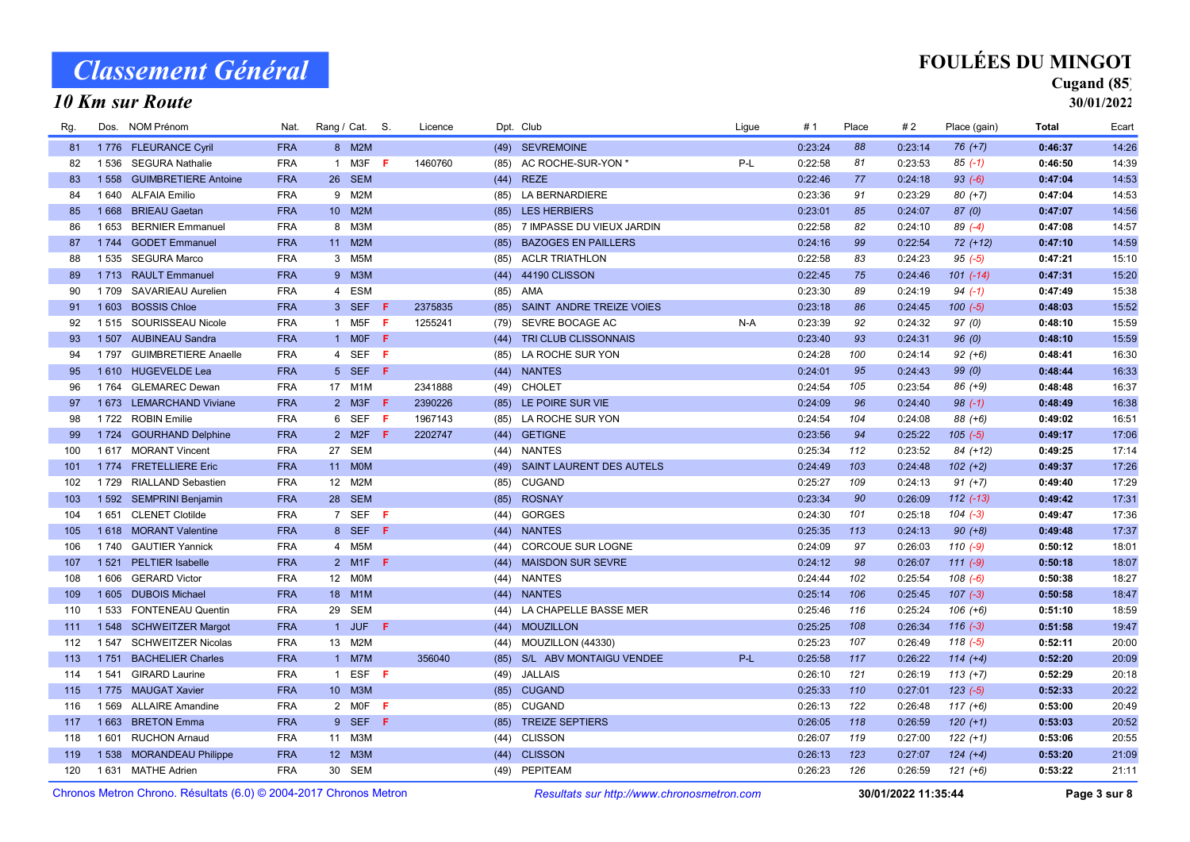### 10 Km sur Route

## FOULÉES DU MINGOT

### Cugand (85)

| Chronos Metron Chrono, Résultats (6.0) © 2004-2017 Chronos Metron |         |                             |            |                |                             |     |         |      | Resultats sur http://www.chronosmetron.com | 30/01/2022 11:35:44 |         |       |         | Page 3 sur 8  |              |       |
|-------------------------------------------------------------------|---------|-----------------------------|------------|----------------|-----------------------------|-----|---------|------|--------------------------------------------|---------------------|---------|-------|---------|---------------|--------------|-------|
| 120                                                               | 1 6 3 1 | <b>MATHE Adrien</b>         | <b>FRA</b> |                | 30 SEM                      |     |         | (49) | PEPITEAM                                   |                     | 0:26:23 | 126   | 0:26:59 | $121 (+6)$    | 0:53:22      | 21:11 |
| 119                                                               |         | 1538 MORANDEAU Philippe     | <b>FRA</b> |                | 12 M3M                      |     |         |      | (44) CLISSON                               |                     | 0:26:13 | 123   | 0:27:07 | $124 (+4)$    | 0:53:20      | 21:09 |
| 118                                                               | 1601    | <b>RUCHON Arnaud</b>        | <b>FRA</b> |                | 11 M3M                      |     |         | (44) | <b>CLISSON</b>                             |                     | 0:26:07 | 119   | 0:27:00 | $122 (+1)$    | 0:53:06      | 20:55 |
| 117                                                               | 1663    | <b>BRETON Emma</b>          | <b>FRA</b> |                | 9 SEF F                     |     |         | (85) | <b>TREIZE SEPTIERS</b>                     |                     | 0:26:05 | 118   | 0:26:59 | $120 (+1)$    | 0:53:03      | 20:52 |
| 116                                                               | 1569    | <b>ALLAIRE Amandine</b>     | <b>FRA</b> |                | 2 MOF                       | F   |         | (85) | <b>CUGAND</b>                              |                     | 0:26:13 | 122   | 0:26:48 | $117 (+6)$    | 0:53:00      | 20:49 |
| 115                                                               |         | 1775 MAUGAT Xavier          | <b>FRA</b> |                | 10 M3M                      |     |         |      | (85) CUGAND                                |                     | 0:25:33 | 110   | 0:27:01 | $123(-5)$     | 0:52:33      | 20:22 |
| 114                                                               | 1541    | <b>GIRARD Laurine</b>       | <b>FRA</b> |                | 1 ESF                       | -F  |         | (49) | <b>JALLAIS</b>                             |                     | 0:26:10 | 121   | 0:26:19 | $113 (+7)$    | 0:52:29      | 20:18 |
| 113                                                               | 1751    | <b>BACHELIER Charles</b>    | <b>FRA</b> |                | 1 M7M                       |     | 356040  | (85) | S/L ABV MONTAIGU VENDEE                    | $P-L$               | 0:25:58 | 117   | 0:26:22 | $114 (+4)$    | 0:52:20      | 20:09 |
| 112                                                               | 1 5 4 7 | <b>SCHWEITZER Nicolas</b>   | <b>FRA</b> |                | 13 M2M                      |     |         | (44) | MOUZILLON (44330)                          |                     | 0:25:23 | 107   | 0:26:49 | $118(-5)$     | 0:52:11      | 20:00 |
| 111                                                               |         | 1 548 SCHWEITZER Margot     | <b>FRA</b> | $\mathbf{1}$   | <b>JUF</b>                  | F.  |         | (44) | <b>MOUZILLON</b>                           |                     | 0:25:25 | 108   | 0:26:34 | $116(-3)$     | 0:51:58      | 19:47 |
| 110                                                               |         | 1533 FONTENEAU Quentin      | <b>FRA</b> | 29             | SEM                         |     |         | (44) | LA CHAPELLE BASSE MER                      |                     | 0:25:46 | 116   | 0:25:24 | $106 (+6)$    | 0:51:10      | 18:59 |
| 109                                                               | 1 6 0 5 | <b>DUBOIS Michael</b>       | <b>FRA</b> |                | 18 M1M                      |     |         | (44) | <b>NANTES</b>                              |                     | 0:25:14 | 106   | 0:25:45 | $107$ $(-3)$  | 0:50:58      | 18:47 |
| 108                                                               | 1606    | <b>GERARD Victor</b>        | <b>FRA</b> |                | 12 M0M                      |     |         | (44) | <b>NANTES</b>                              |                     | 0:24:44 | 102   | 0:25:54 | $108(-6)$     | 0:50:38      | 18:27 |
| 107                                                               | 1521    | <b>PELTIER Isabelle</b>     | <b>FRA</b> |                | 2 M1F                       | Æ   |         | (44) | <b>MAISDON SUR SEVRE</b>                   |                     | 0:24:12 | 98    | 0:26:07 | $111 (-9)$    | 0:50:18      | 18:07 |
| 106                                                               | 1 740   | <b>GAUTIER Yannick</b>      | <b>FRA</b> |                | 4 M5M                       |     |         | (44) | CORCOUE SUR LOGNE                          |                     | 0:24:09 | 97    | 0:26:03 | $110(-9)$     | 0:50:12      | 18:01 |
| 105                                                               |         | 1618 MORANT Valentine       | <b>FRA</b> |                | 8 SEF                       | F   |         | (44) | <b>NANTES</b>                              |                     | 0:25:35 | 113   | 0:24:13 | $90 (+8)$     | 0:49:48      | 17:37 |
| 104                                                               | 1651    | <b>CLENET Clotilde</b>      | <b>FRA</b> |                | 7 SEF                       | - F |         | (44) | <b>GORGES</b>                              |                     | 0:24:30 | 101   | 0:25:18 | $104 (-3)$    | 0:49:47      | 17:36 |
| 103                                                               |         | 1 592 SEMPRINI Benjamin     | <b>FRA</b> |                | 28 SEM                      |     |         | (85) | <b>ROSNAY</b>                              |                     | 0:23:34 | 90    | 0:26:09 | $112$ $(-13)$ | 0:49:42      | 17:31 |
| 102                                                               | 1 7 2 9 | <b>RIALLAND Sebastien</b>   | <b>FRA</b> | 12             | M2M                         |     |         | (85) | <b>CUGAND</b>                              |                     | 0:25:27 | 109   | 0:24:13 | $91 (+7)$     | 0:49:40      | 17:29 |
| 101                                                               |         | 1774 FRETELLIERE Eric       | <b>FRA</b> | 11             | <b>MOM</b>                  |     |         | (49) | SAINT LAURENT DES AUTELS                   |                     | 0:24:49 | 103   | 0:24:48 | $102 (+2)$    | 0:49:37      | 17:26 |
| 100                                                               |         | 1617 MORANT Vincent         | <b>FRA</b> | 27             | <b>SEM</b>                  |     |         | (44) | <b>NANTES</b>                              |                     | 0:25:34 | 112   | 0:23:52 | 84 (+12)      | 0:49:25      | 17:14 |
| 99                                                                |         | 1724 GOURHAND Delphine      | <b>FRA</b> |                | 2 M2F                       | F.  | 2202747 | (44) | <b>GETIGNE</b>                             |                     | 0:23:56 | 94    | 0:25:22 | $105(-5)$     | 0:49:17      | 17:06 |
| 98                                                                |         | 1722 ROBIN Emilie           | <b>FRA</b> | 6              | <b>SEF</b>                  | F   | 1967143 | (85) | LA ROCHE SUR YON                           |                     | 0:24:54 | 104   | 0:24:08 | 88 (+6)       | 0:49:02      | 16:51 |
| 97                                                                |         | 1 673 LEMARCHAND Viviane    | <b>FRA</b> |                | 2 M3F $F$                   |     | 2390226 |      | (85) LE POIRE SUR VIE                      |                     | 0:24:09 | 96    | 0:24:40 | $98(-1)$      | 0:48:49      | 16:38 |
| 96                                                                | 1 7 6 4 | <b>GLEMAREC Dewan</b>       | <b>FRA</b> |                | 17 M1M                      |     | 2341888 | (49) | <b>CHOLET</b>                              |                     | 0:24:54 | 105   | 0:23:54 | 86 (+9)       | 0:48:48      | 16:37 |
| 95                                                                |         | 1610 HUGEVELDE Lea          | <b>FRA</b> |                | 5 SEF                       | F.  |         | (44) | <b>NANTES</b>                              |                     | 0:24:01 | 95    | 0:24:43 | 99(0)         | 0:48:44      | 16:33 |
| 94                                                                | 1 7 9 7 | <b>GUIMBRETIERE Anaelle</b> | <b>FRA</b> | $\overline{4}$ | SEF                         | F   |         | (85) | LA ROCHE SUR YON                           |                     | 0:24:28 | 100   | 0:24:14 | $92 (+6)$     | 0:48:41      | 16:30 |
| 93                                                                |         | 1 507 AUBINEAU Sandra       | <b>FRA</b> |                | 1 MOF                       | F.  |         | (44) | TRI CLUB CLISSONNAIS                       |                     | 0:23:40 | 93    | 0:24:31 | 96(0)         | 0:48:10      | 15:59 |
| 92                                                                |         | 1515 SOURISSEAU Nicole      | <b>FRA</b> |                | 1 M <sub>5</sub> F <b>F</b> |     | 1255241 | (79) | SEVRE BOCAGE AC                            | $N-A$               | 0:23:39 | 92    | 0:24:32 | 97(0)         | 0:48:10      | 15:59 |
| 91                                                                | 1 603   | <b>BOSSIS Chloe</b>         | <b>FRA</b> |                | 3 SEF                       | Æ   | 2375835 | (85) | SAINT ANDRE TREIZE VOIES                   |                     | 0:23:18 | 86    | 0:24:45 | $100 (-5)$    | 0:48:03      | 15:52 |
| 90                                                                | 1709    | <b>SAVARIEAU Aurelien</b>   | <b>FRA</b> |                | 4 ESM                       |     |         | (85) | AMA                                        |                     | 0:23:30 | 89    | 0:24:19 | $94 (-1)$     | 0:47:49      | 15:38 |
| 89                                                                |         | 1713 RAULT Emmanuel         | <b>FRA</b> |                | 9 M3M                       |     |         | (44) | 44190 CLISSON                              |                     | 0:22:45 | 75    | 0:24:46 | $101 (-14)$   | 0:47:31      | 15:20 |
| 88                                                                |         | 1535 SEGURA Marco           | <b>FRA</b> |                | 3 M5M                       |     |         | (85) | <b>ACLR TRIATHLON</b>                      |                     | 0:22:58 | 83    | 0:24:23 | $95(-5)$      | 0:47:21      | 15:10 |
| 87                                                                |         | 1744 GODET Emmanuel         | <b>FRA</b> |                | 11 M2M                      |     |         | (85) | <b>BAZOGES EN PAILLERS</b>                 |                     | 0:24:16 | 99    | 0:22:54 | $72 (+12)$    | 0:47:10      | 14:59 |
| 86                                                                | 1653    | <b>BERNIER Emmanuel</b>     | <b>FRA</b> |                | 8 M3M                       |     |         | (85) | 7 IMPASSE DU VIEUX JARDIN                  |                     | 0:22:58 | 82    | 0:24:10 | $89(-4)$      | 0:47:08      | 14:57 |
| 85                                                                | 1668    | <b>BRIEAU Gaetan</b>        | <b>FRA</b> |                | 10 M2M                      |     |         |      | (85) LES HERBIERS                          |                     | 0:23:01 | 85    | 0:24:07 | 87(0)         | 0:47:07      | 14:56 |
| 84                                                                |         | 1 640 ALFAIA Emilio         | <b>FRA</b> |                | 9 M2M                       |     |         | (85) | <b>LA BERNARDIERE</b>                      |                     | 0:23:36 | 91    | 0:23:29 | $80 (+7)$     | 0:47:04      | 14:53 |
| 83                                                                | 1558    | <b>GUIMBRETIERE Antoine</b> | <b>FRA</b> |                | 26 SEM                      |     |         | (44) | <b>REZE</b>                                |                     | 0:22:46 | 77    | 0:24:18 | $93 (-6)$     | 0:47:04      | 14:53 |
| 82                                                                | 1536    | <b>SEGURA Nathalie</b>      | <b>FRA</b> |                | 1 M3F                       | Æ   | 1460760 | (85) | AC ROCHE-SUR-YON *                         | P-L                 | 0:22:58 | 81    | 0:23:53 | $85(-1)$      | 0:46:50      | 14:39 |
| 81                                                                |         | 1776 FLEURANCE Cyril        | <b>FRA</b> |                | 8 M2M                       |     |         | (49) | <b>SEVREMOINE</b>                          |                     | 0:23:24 | 88    | 0:23:14 | $76 (+7)$     | 0:46:37      | 14:26 |
| Rg.                                                               | Dos.    | NOM Prénom                  | Nat.       | Rang / Cat. S. |                             |     | Licence |      | Dpt. Club                                  | Ligue               | #1      | Place | #2      | Place (gain)  | <b>Total</b> | Ecart |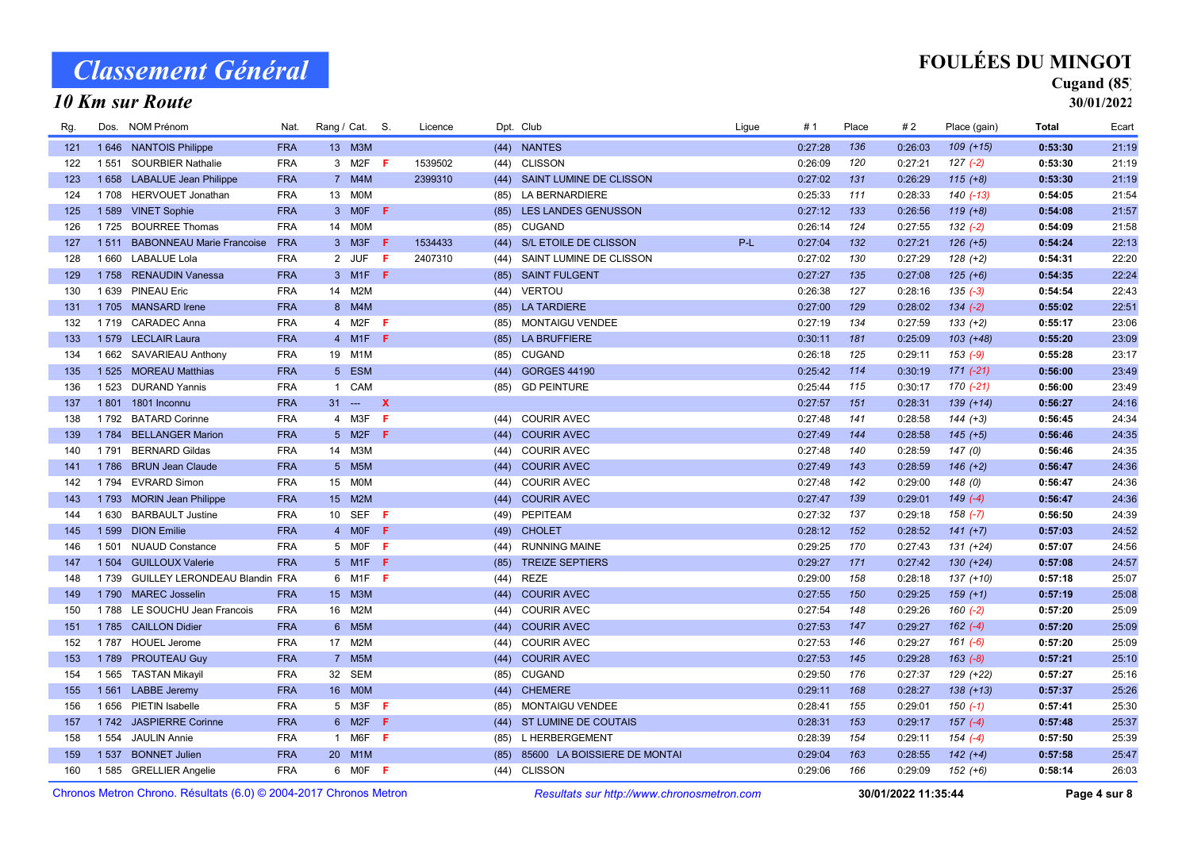#### 10 Km sur Route

## FOULÉES DU MINGOT

## Cugand (85)

| Rg.                                                               | Dos.    | NOM Prénom                           | Nat.       |                  | Rang / Cat. S.  |              | Licence |      | Dpt. Club<br>Ligue                         | #1      | Place | #2                  | Place (gain) | Total   | Ecart        |
|-------------------------------------------------------------------|---------|--------------------------------------|------------|------------------|-----------------|--------------|---------|------|--------------------------------------------|---------|-------|---------------------|--------------|---------|--------------|
| 121                                                               |         | 1646 NANTOIS Philippe                | <b>FRA</b> |                  | 13 M3M          |              |         | (44) | <b>NANTES</b>                              | 0:27:28 | 136   | 0:26:03             | $109 (+15)$  | 0:53:30 | 21:19        |
| 122                                                               | 1551    | <b>SOURBIER Nathalie</b>             | <b>FRA</b> |                  | 3 M2F           | - F          | 1539502 | (44) | <b>CLISSON</b>                             | 0:26:09 | 120   | 0:27:21             | $127(-2)$    | 0:53:30 | 21:19        |
| 123                                                               |         | 1658 LABALUE Jean Philippe           | <b>FRA</b> |                  | 7 M4M           |              | 2399310 | (44) | SAINT LUMINE DE CLISSON                    | 0:27:02 | 131   | 0:26:29             | $115 (+8)$   | 0:53:30 | 21:19        |
| 124                                                               | 1708    | <b>HERVOUET Jonathan</b>             | <b>FRA</b> |                  | 13 MOM          |              |         | (85) | <b>LA BERNARDIERE</b>                      | 0:25:33 | 111   | 0:28:33             | 140 (-13)    | 0:54:05 | 21:54        |
| 125                                                               |         | 1589 VINET Sophie                    | <b>FRA</b> |                  | 3 MOF           | -F.          |         | (85) | LES LANDES GENUSSON                        | 0:27:12 | 133   | 0:26:56             | $119 (+8)$   | 0:54:08 | 21:57        |
| 126                                                               | 1 7 2 5 | <b>BOURREE Thomas</b>                | <b>FRA</b> |                  | 14 M0M          |              |         | (85) | <b>CUGAND</b>                              | 0:26:14 | 124   | 0:27:55             | $132(-2)$    | 0:54:09 | 21:58        |
| 127                                                               | 1 5 1 1 | <b>BABONNEAU Marie Francoise</b>     | <b>FRA</b> |                  | 3 M3F           | -F           | 1534433 |      | $P-L$<br>(44) S/L ETOILE DE CLISSON        | 0:27:04 | 132   | 0:27:21             | $126 (+5)$   | 0:54:24 | 22:13        |
| 128                                                               | 1660    | <b>LABALUE Lola</b>                  | <b>FRA</b> |                  | 2 JUF           | -F           | 2407310 | (44) | SAINT LUMINE DE CLISSON                    | 0:27:02 | 130   | 0:27:29             | $128 (+2)$   | 0:54:31 | 22:20        |
| 129                                                               |         | 1758 RENAUDIN Vanessa                | <b>FRA</b> |                  | 3 M1F <b>F</b>  |              |         | (85) | <b>SAINT FULGENT</b>                       | 0:27:27 | 135   | 0:27:08             | $125 (+6)$   | 0:54:35 | 22:24        |
| 130                                                               | 1639    | <b>PINEAU Eric</b>                   | <b>FRA</b> |                  | 14 M2M          |              |         | (44) | <b>VERTOU</b>                              | 0:26:38 | 127   | 0:28:16             | $135(-3)$    | 0:54:54 | 22:43        |
| 131                                                               |         | 1705 MANSARD Irene                   | <b>FRA</b> |                  | 8 M4M           |              |         | (85) | <b>LA TARDIERE</b>                         | 0:27:00 | 129   | 0:28:02             | $134 (-2)$   | 0:55:02 | 22:51        |
| 132                                                               | 1 7 1 9 | <b>CARADEC Anna</b>                  | <b>FRA</b> |                  | 4 M2F           | -F           |         | (85) | <b>MONTAIGU VENDEE</b>                     | 0:27:19 | 134   | 0:27:59             | $133 (+2)$   | 0:55:17 | 23:06        |
| 133                                                               |         | 1579 LECLAIR Laura                   | <b>FRA</b> |                  | 4 M1F           | F.           |         | (85) | <b>LA BRUFFIERE</b>                        | 0:30:11 | 181   | 0:25:09             | $103 (+48)$  | 0:55:20 | 23:09        |
| 134                                                               |         | 1 662 SAVARIEAU Anthony              | <b>FRA</b> |                  | 19 M1M          |              |         | (85) | <b>CUGAND</b>                              | 0:26:18 | 125   | 0:29:11             | $153(-9)$    | 0:55:28 | 23:17        |
| 135                                                               |         | 1 525 MOREAU Matthias                | <b>FRA</b> |                  | 5 ESM           |              |         | (44) | <b>GORGES 44190</b>                        | 0:25:42 | 114   | 0:30:19             | $171(-21)$   | 0:56:00 | 23:49        |
| 136                                                               |         | 1 523 DURAND Yannis                  | <b>FRA</b> |                  | 1 CAM           |              |         | (85) | <b>GD PEINTURE</b>                         | 0:25:44 | 115   | 0:30:17             | 170 (-21)    | 0:56:00 | 23:49        |
| 137                                                               |         | 1801 1801 Inconnu                    | <b>FRA</b> | $31 - -$         |                 | $\mathbf{x}$ |         |      |                                            | 0:27:57 | 151   | 0:28:31             | $139 (+14)$  | 0:56:27 | 24:16        |
| 138                                                               |         | 1792 BATARD Corinne                  | <b>FRA</b> | $\overline{4}$   | M3F             | F            |         | (44) | <b>COURIR AVEC</b>                         | 0:27:48 | 141   | 0:28:58             | $144 (+3)$   | 0:56:45 | 24:34        |
| 139                                                               | 1784    | <b>BELLANGER Marion</b>              | <b>FRA</b> |                  | 5 M2F           | F.           |         | (44) | <b>COURIR AVEC</b>                         | 0:27:49 | 144   | 0:28:58             | $145 (+5)$   | 0:56:46 | 24:35        |
| 140                                                               | 1791    | <b>BERNARD Gildas</b>                | <b>FRA</b> |                  | 14 M3M          |              |         | (44) | <b>COURIR AVEC</b>                         | 0:27:48 | 140   | 0:28:59             | 147(0)       | 0:56:46 | 24:35        |
| 141                                                               | 1786    | <b>BRUN Jean Claude</b>              | <b>FRA</b> |                  | 5 M5M           |              |         | (44) | <b>COURIR AVEC</b>                         | 0:27:49 | 143   | 0:28:59             | $146 (+2)$   | 0:56:47 | 24:36        |
| 142                                                               | 1 7 9 4 | <b>EVRARD Simon</b>                  | <b>FRA</b> | 15 <sup>15</sup> | <b>MOM</b>      |              |         | (44) | <b>COURIR AVEC</b>                         | 0:27:48 | 142   | 0:29:00             | 148(0)       | 0:56:47 | 24:36        |
| 143                                                               | 1 7 9 3 | <b>MORIN Jean Philippe</b>           | <b>FRA</b> |                  | 15 M2M          |              |         | (44) | <b>COURIR AVEC</b>                         | 0:27:47 | 139   | 0:29:01             | $149(-4)$    | 0:56:47 | 24:36        |
| 144                                                               | 1 630   | <b>BARBAULT Justine</b>              | <b>FRA</b> |                  | 10 SEF <b>F</b> |              |         | (49) | PEPITEAM                                   | 0:27:32 | 137   | 0:29:18             | $158(-7)$    | 0:56:50 | 24:39        |
| 145                                                               | 1599    | <b>DION Emilie</b>                   | <b>FRA</b> |                  | 4 MOF           | F            |         | (49) | <b>CHOLET</b>                              | 0:28:12 | 152   | 0:28:52             | $141 (+7)$   | 0:57:03 | 24:52        |
| 146                                                               |         | 1501 NUAUD Constance                 | <b>FRA</b> |                  | 5 MOF           | -F           |         | (44) | <b>RUNNING MAINE</b>                       | 0:29:25 | 170   | 0:27:43             | $131 (+24)$  | 0:57:07 | 24:56        |
| 147                                                               | 1 5 0 4 | <b>GUILLOUX Valerie</b>              | <b>FRA</b> |                  | 5 M1F           | F            |         | (85) | <b>TREIZE SEPTIERS</b>                     | 0:29:27 | 171   | 0:27:42             | $130 (+24)$  | 0:57:08 | 24:57        |
| 148                                                               | 1739    | <b>GUILLEY LERONDEAU Blandin FRA</b> |            |                  | 6 M1F           | -F           |         | (44) | <b>REZE</b>                                | 0:29:00 | 158   | 0:28:18             | 137 (+10)    | 0:57:18 | 25:07        |
| 149                                                               | 1790    | <b>MAREC Josselin</b>                | <b>FRA</b> |                  | 15 M3M          |              |         | (44) | <b>COURIR AVEC</b>                         | 0:27:55 | 150   | 0:29:25             | $159 (+1)$   | 0:57:19 | 25:08        |
| 150                                                               | 1788    | LE SOUCHU Jean Francois              | <b>FRA</b> |                  | 16 M2M          |              |         | (44) | <b>COURIR AVEC</b>                         | 0:27:54 | 148   | 0:29:26             | $160(-2)$    | 0:57:20 | 25:09        |
| 151                                                               | 1785    | <b>CAILLON Didier</b>                | <b>FRA</b> |                  | 6 M5M           |              |         | (44) | <b>COURIR AVEC</b>                         | 0:27:53 | 147   | 0:29:27             | $162 (-4)$   | 0:57:20 | 25:09        |
| 152                                                               | 1787    | <b>HOUEL Jerome</b>                  | <b>FRA</b> |                  | 17 M2M          |              |         | (44) | <b>COURIR AVEC</b>                         | 0:27:53 | 146   | 0:29:27             | $161 (-6)$   | 0:57:20 | 25:09        |
| 153                                                               | 1789    | <b>PROUTEAU Guy</b>                  | <b>FRA</b> |                  | 7 M5M           |              |         | (44) | <b>COURIR AVEC</b>                         | 0:27:53 | 145   | 0:29:28             | $163 (-8)$   | 0:57:21 | 25:10        |
| 154                                                               | 1565    | <b>TASTAN Mikayil</b>                | <b>FRA</b> |                  | 32 SEM          |              |         | (85) | <b>CUGAND</b>                              | 0:29:50 | 176   | 0:27:37             | 129 (+22)    | 0:57:27 | 25:16        |
| 155                                                               |         | 1561 LABBE Jeremy                    | <b>FRA</b> |                  | 16 M0M          |              |         | (44) | <b>CHEMERE</b>                             | 0:29:11 | 168   | 0:28:27             | $138 (+13)$  | 0:57:37 | 25:26        |
| 156                                                               |         | 1656 PIETIN Isabelle                 | <b>FRA</b> |                  | 5 M3F           | -F           |         | (85) | <b>MONTAIGU VENDEE</b>                     | 0:28:41 | 155   | 0:29:01             | $150(-1)$    | 0:57:41 | 25:30        |
| 157                                                               |         | 1742 JASPIERRE Corinne               | <b>FRA</b> |                  | 6 M2F           | -F           |         |      | (44) ST LUMINE DE COUTAIS                  | 0:28:31 | 153   | 0:29:17             | $157 (-4)$   | 0:57:48 | 25:37        |
| 158                                                               | 1 5 5 4 | <b>JAULIN Annie</b>                  | <b>FRA</b> |                  | 1 M6F           | -F           |         | (85) | L HERBERGEMENT                             | 0:28:39 | 154   | 0:29:11             | $154(-4)$    | 0:57:50 | 25:39        |
| 159                                                               |         | 1537 BONNET Julien                   | <b>FRA</b> |                  | 20 M1M          |              |         | (85) | 85600 LA BOISSIERE DE MONTAI               | 0:29:04 | 163   | 0:28:55             | $142 (+4)$   | 0:57:58 | 25:47        |
| 160                                                               |         | 1585 GRELLIER Angelie                | <b>FRA</b> |                  | 6 M0F <b>F</b>  |              |         | (44) | <b>CLISSON</b>                             | 0:29:06 | 166   | 0:29:09             | $152 (+6)$   | 0:58:14 | 26:03        |
| Chronos Metron Chrono, Résultats (6.0) © 2004-2017 Chronos Metron |         |                                      |            |                  |                 |              |         |      | Resultats sur http://www.chronosmetron.com |         |       | 30/01/2022 11:35:44 |              |         | Page 4 sur 8 |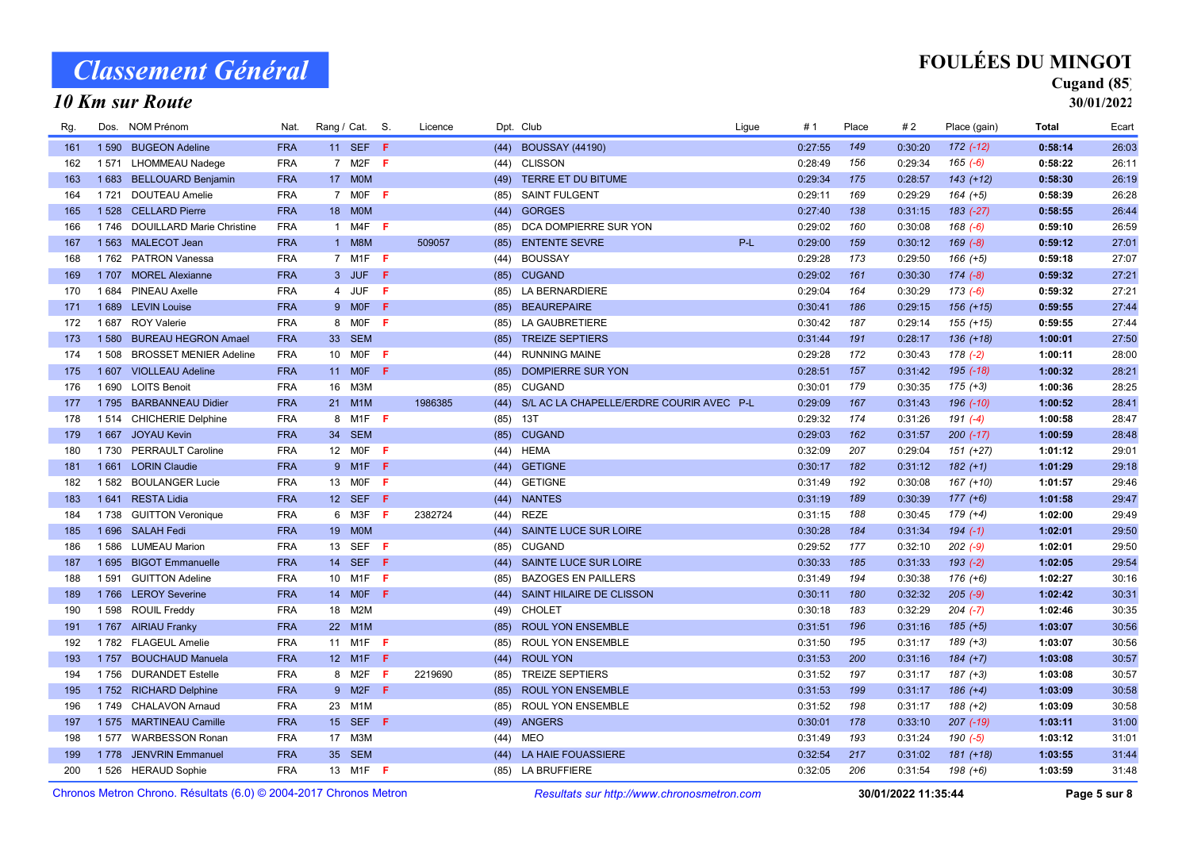### 10 Km sur Route

## FOULÉES DU MINGOT

## Cugand (85)

| Chronos Metron Chrono, Résultats (6.0) © 2004-2017 Chronos Metron |         |                                  |            |                 |                  |    |         | Resultats sur http://www.chronosmetron.com |                                               |       |         | 30/01/2022 11:35:44 |         | Page 5 sur 8  |              |       |
|-------------------------------------------------------------------|---------|----------------------------------|------------|-----------------|------------------|----|---------|--------------------------------------------|-----------------------------------------------|-------|---------|---------------------|---------|---------------|--------------|-------|
| 200                                                               |         | 1526 HERAUD Sophie               | <b>FRA</b> |                 | 13 M1F <b>F</b>  |    |         |                                            | (85) LA BRUFFIERE                             |       | 0:32:05 | 206                 | 0:31:54 | $198 (+6)$    | 1:03:59      | 31:48 |
| 199                                                               |         | 1778 JENVRIN Emmanuel            | <b>FRA</b> | 35 <sub>o</sub> | <b>SEM</b>       |    |         |                                            | (44) LA HAIE FOUASSIERE                       |       | 0:32:54 | 217                 | 0:31:02 | $181 (+18)$   | 1:03:55      | 31:44 |
| 198                                                               | 1 577   | <b>WARBESSON Ronan</b>           | <b>FRA</b> | 17              | МЗМ              |    |         | (44)                                       | <b>MEO</b>                                    |       | 0:31:49 | 193                 | 0:31:24 | 190 (-5)      | 1:03:12      | 31:01 |
| 197                                                               |         | 1 575 MARTINEAU Camille          | <b>FRA</b> |                 | 15 SEF F         |    |         | (49)                                       | <b>ANGERS</b>                                 |       | 0:30:01 | 178                 | 0:33:10 | $207$ $(-19)$ | 1:03:11      | 31:00 |
| 196                                                               | 1 749   | <b>CHALAVON Arnaud</b>           | <b>FRA</b> | 23              | M <sub>1</sub> M |    |         | (85)                                       | ROUL YON ENSEMBLE                             |       | 0:31:52 | 198                 | 0:31:17 | $188 (+2)$    | 1:03:09      | 30:58 |
| 195                                                               |         | 1752 RICHARD Delphine            | <b>FRA</b> |                 | 9 M2F F          |    |         |                                            | (85) ROUL YON ENSEMBLE                        |       | 0:31:53 | 199                 | 0:31:17 | $186 (+4)$    | 1:03:09      | 30:58 |
| 194                                                               | 1756    | <b>DURANDET Estelle</b>          | <b>FRA</b> |                 | 8 M2F            | F  | 2219690 | (85)                                       | <b>TREIZE SEPTIERS</b>                        |       | 0:31:52 | 197                 | 0:31:17 | $187 (+3)$    | 1:03:08      | 30:57 |
| 193                                                               | 1757    | <b>BOUCHAUD Manuela</b>          | <b>FRA</b> |                 | 12 M1F F         |    |         | (44)                                       | <b>ROUL YON</b>                               |       | 0:31:53 | 200                 | 0:31:16 | $184 (+7)$    | 1:03:08      | 30:57 |
| 192                                                               | 1782    | <b>FLAGEUL Amelie</b>            | <b>FRA</b> |                 | 11 M1F           | -F |         | (85)                                       | ROUL YON ENSEMBLE                             |       | 0:31:50 | 195                 | 0:31:17 | $189 (+3)$    | 1:03:07      | 30:56 |
| 191                                                               |         | 1767 AIRIAU Franky               | <b>FRA</b> | 22              | M <sub>1</sub> M |    |         | (85)                                       | <b>ROUL YON ENSEMBLE</b>                      |       | 0:31:51 | 196                 | 0:31:16 | $185 (+5)$    | 1:03:07      | 30:56 |
| 190                                                               |         | 1598 ROUIL Freddy                | <b>FRA</b> | 18              | M2M              |    |         | (49)                                       | <b>CHOLET</b>                                 |       | 0:30:18 | 183                 | 0:32:29 | $204$ $(-7)$  | 1:02:46      | 30:35 |
| 189                                                               |         | 1766 LEROY Severine              | <b>FRA</b> | 14              | <b>MOF</b>       | F  |         | (44)                                       | SAINT HILAIRE DE CLISSON                      |       | 0:30:11 | 180                 | 0:32:32 | $205 (-9)$    | 1:02:42      | 30:31 |
| 188                                                               | 1591    | <b>GUITTON Adeline</b>           | <b>FRA</b> | 10              | M <sub>1</sub> F | F  |         | (85)                                       | <b>BAZOGES EN PAILLERS</b>                    |       | 0:31:49 | 194                 | 0:30:38 | $176 (+6)$    | 1:02:27      | 30:16 |
| 187                                                               | 1695    | <b>BIGOT Emmanuelle</b>          | <b>FRA</b> | 14              | <b>SEF</b>       | F  |         | (44)                                       | SAINTE LUCE SUR LOIRE                         |       | 0:30:33 | 185                 | 0:31:33 | $193(-2)$     | 1:02:05      | 29:54 |
| 186                                                               |         | 1586 LUMEAU Marion               | <b>FRA</b> | 13              | <b>SEF</b>       | F  |         | (85)                                       | <b>CUGAND</b>                                 |       | 0:29:52 | 177                 | 0:32:10 | $202 (-9)$    | 1:02:01      | 29:50 |
| 185                                                               |         | 1696 SALAH Fedi                  | <b>FRA</b> | 19 <sup>°</sup> | <b>MOM</b>       |    |         | (44)                                       | SAINTE LUCE SUR LOIRE                         |       | 0:30:28 | 184                 | 0:31:34 | $194 (-1)$    | 1:02:01      | 29:50 |
| 184                                                               | 1 7 3 8 | <b>GUITTON Veronique</b>         | <b>FRA</b> |                 | 6 M3F            | -F | 2382724 | (44)                                       | <b>REZE</b>                                   |       | 0:31:15 | 188                 | 0:30:45 | $179 (+4)$    | 1:02:00      | 29:49 |
| 183                                                               | 1641    | <b>RESTA Lidia</b>               | <b>FRA</b> |                 | 12 SEF           | F  |         | (44)                                       | <b>NANTES</b>                                 |       | 0:31:19 | 189                 | 0:30:39 | $177 (+6)$    | 1:01:58      | 29:47 |
| 182                                                               | 1 582   | <b>BOULANGER Lucie</b>           | <b>FRA</b> | 13              | MOF              | F  |         | (44)                                       | <b>GETIGNE</b>                                |       | 0:31:49 | 192                 | 0:30:08 | 167 (+10)     | 1:01:57      | 29:46 |
| 181                                                               | 1661    | <b>LORIN Claudie</b>             | <b>FRA</b> |                 | 9 M1F            | F  |         | (44)                                       | <b>GETIGNE</b>                                |       | 0:30:17 | 182                 | 0:31:12 | $182 (+1)$    | 1:01:29      | 29:18 |
| 180                                                               | 1730    | <b>PERRAULT Caroline</b>         | <b>FRA</b> |                 | 12 M0F           | F  |         | (44)                                       | <b>HEMA</b>                                   |       | 0:32:09 | 207                 | 0:29:04 | $151 (+27)$   | 1:01:12      | 29:01 |
| 179                                                               | 1667    | <b>JOYAU Kevin</b>               | <b>FRA</b> | 34              | <b>SEM</b>       |    |         | (85)                                       | <b>CUGAND</b>                                 |       | 0:29:03 | 162                 | 0:31:57 | $200(-17)$    | 1:00:59      | 28:48 |
| 178                                                               |         | 1514 CHICHERIE Delphine          | <b>FRA</b> | 8               | M <sub>1</sub> F | -F |         | (85)                                       | 13T                                           |       | 0:29:32 | 174                 | 0:31:26 | $191 (-4)$    | 1:00:58      | 28:47 |
| 177                                                               |         | 1795 BARBANNEAU Didier           | <b>FRA</b> |                 | 21 M1M           |    | 1986385 |                                            | (44) S/L AC LA CHAPELLE/ERDRE COURIR AVEC P-L |       | 0:29:09 | 167                 | 0:31:43 | $196$ $(-10)$ | 1:00:52      | 28:41 |
| 176                                                               | 1690    | <b>LOITS Benoit</b>              | <b>FRA</b> | 16              | M3M              |    |         | (85)                                       | <b>CUGAND</b>                                 |       | 0:30:01 | 179                 | 0:30:35 | $175 (+3)$    | 1:00:36      | 28:25 |
| 175                                                               | 1 607   | <b>VIOLLEAU Adeline</b>          | <b>FRA</b> |                 | 11 MOF           | F  |         | (85)                                       | DOMPIERRE SUR YON                             |       | 0:28:51 | 157                 | 0:31:42 | $195$ (-18)   | 1:00:32      | 28:21 |
| 174                                                               | 1 508   | <b>BROSSET MENIER Adeline</b>    | <b>FRA</b> | 10              | MOF              | F  |         | (44)                                       | <b>RUNNING MAINE</b>                          |       | 0:29:28 | 172                 | 0:30:43 | $178(-2)$     | 1:00:11      | 28:00 |
| 173                                                               | 1 5 8 0 | <b>BUREAU HEGRON Amael</b>       | <b>FRA</b> | 33 <sup>°</sup> | <b>SEM</b>       |    |         | (85)                                       | <b>TREIZE SEPTIERS</b>                        |       | 0:31:44 | 191                 | 0:28:17 | $136 (+18)$   | 1:00:01      | 27:50 |
| 172                                                               | 1687    | <b>ROY Valerie</b>               | <b>FRA</b> |                 | 8 M0F <b>F</b>   |    |         | (85)                                       | LA GAUBRETIERE                                |       | 0:30:42 | 187                 | 0:29:14 | $155 (+15)$   | 0:59:55      | 27:44 |
| 171                                                               |         | 1 689 LEVIN Louise               | <b>FRA</b> |                 | 9 MOF F          |    |         | (85)                                       | <b>BEAUREPAIRE</b>                            |       | 0:30:41 | 186                 | 0:29:15 | $156 (+15)$   | 0:59:55      | 27:44 |
| 170                                                               | 1684    | <b>PINEAU Axelle</b>             | <b>FRA</b> | $\overline{4}$  | JUF              | F  |         | (85)                                       | LA BERNARDIERE                                |       | 0:29:04 | 164                 | 0:30:29 | $173(-6)$     | 0:59:32      | 27:21 |
| 169                                                               |         | 1707 MOREL Alexianne             | <b>FRA</b> |                 | 3 JUF            | F  |         |                                            | (85) CUGAND                                   |       | 0:29:02 | 161                 | 0:30:30 | $174 (-8)$    | 0:59:32      | 27:21 |
| 168                                                               | 1762    | <b>PATRON Vanessa</b>            | <b>FRA</b> |                 | 7 M1F <b>F</b>   |    |         | (44)                                       | <b>BOUSSAY</b>                                |       | 0:29:28 | 173                 | 0:29:50 | $166 (+5)$    | 0:59:18      | 27:07 |
| 167                                                               |         | 1563 MALECOT Jean                | <b>FRA</b> |                 | 1 M8M            |    | 509057  | (85)                                       | <b>ENTENTE SEVRE</b>                          | $P-L$ | 0:29:00 | 159                 | 0:30:12 | $169(-8)$     | 0:59:12      | 27:01 |
| 166                                                               | 1 746   | <b>DOUILLARD Marie Christine</b> | <b>FRA</b> |                 | 1 M4F            | -F |         | (85)                                       | DCA DOMPIERRE SUR YON                         |       | 0:29:02 | 160                 | 0:30:08 | $168(-6)$     | 0:59:10      | 26:59 |
| 165                                                               |         | 1528 CELLARD Pierre              | <b>FRA</b> | 18              | <b>MOM</b>       |    |         | (44)                                       | <b>GORGES</b>                                 |       | 0:27:40 | 138                 | 0:31:15 | $183$ (-27)   | 0:58:55      | 26:44 |
| 164                                                               | 1721    | <b>DOUTEAU Amelie</b>            | <b>FRA</b> |                 | 7 MOF            | F  |         | (85)                                       | <b>SAINT FULGENT</b>                          |       | 0:29:11 | 169                 | 0:29:29 | $164 (+5)$    | 0:58:39      | 26:28 |
| 163                                                               | 1683    | <b>BELLOUARD Benjamin</b>        | <b>FRA</b> |                 | 17 MOM           |    |         | (49)                                       | TERRE ET DU BITUME                            |       | 0:29:34 | 175                 | 0:28:57 | $143 (+12)$   | 0:58:30      | 26:19 |
| 162                                                               | 1571    | <b>LHOMMEAU Nadege</b>           | <b>FRA</b> |                 | 7 M2F            | F  |         | (44)                                       | <b>CLISSON</b>                                |       | 0:28:49 | 156                 | 0:29:34 | $165(-6)$     | 0:58:22      | 26:11 |
| 161                                                               | 1 5 9 0 | <b>BUGEON Adeline</b>            | <b>FRA</b> |                 | 11 SEF F         |    |         | (44)                                       | <b>BOUSSAY (44190)</b>                        |       | 0:27:55 | 149                 | 0:30:20 | $172(-12)$    | 0:58:14      | 26:03 |
| Rg.                                                               | Dos.    | <b>NOM Prénom</b>                | Nat.       | Rang / Cat. S.  |                  |    | Licence |                                            | Dpt. Club                                     | Ligue | #1      | Place               | #2      | Place (gain)  | <b>Total</b> | Ecart |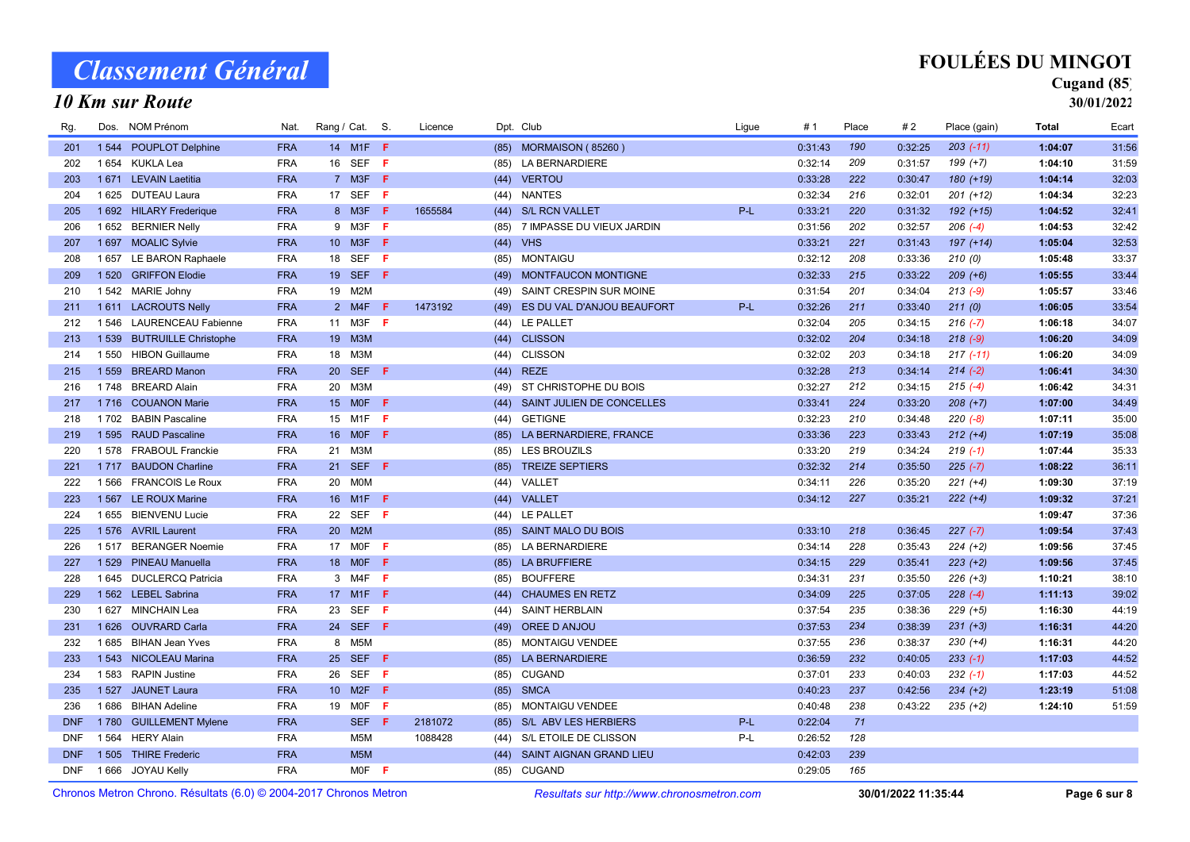#### 10 Km sur Route

## FOULÉES DU MINGOT

### Cugand (85)

| Rg.                                                               |         | Dos. NOM Prénom            | Nat.       | Rang / Cat. S.  |                  |    | Licence |      | Dpt. Club                                                         | Ligue | #1      | Place | #2      | Place (gain)  | <b>Total</b> | Ecart |
|-------------------------------------------------------------------|---------|----------------------------|------------|-----------------|------------------|----|---------|------|-------------------------------------------------------------------|-------|---------|-------|---------|---------------|--------------|-------|
| 201                                                               |         | 1544 POUPLOT Delphine      | <b>FRA</b> |                 | 14 M1F F         |    |         |      | (85) MORMAISON (85260)                                            |       | 0:31:43 | 190   | 0:32:25 | $203$ $(-11)$ | 1:04:07      | 31:56 |
| 202                                                               | 1654    | KUKLA Lea                  | <b>FRA</b> | 16              | SEF              | Æ  |         | (85) | <b>LA BERNARDIERE</b>                                             |       | 0:32:14 | 209   | 0:31:57 | $199 (+7)$    | 1:04:10      | 31:59 |
| 203                                                               |         | 1 671 LEVAIN Laetitia      | <b>FRA</b> |                 | 7 M3F F          |    |         | (44) | <b>VERTOU</b>                                                     |       | 0:33:28 | 222   | 0:30:47 | 180 (+19)     | 1:04:14      | 32:03 |
| 204                                                               |         | 1 625 DUTEAU Laura         | <b>FRA</b> |                 | 17 SEF           | -F |         | (44) | <b>NANTES</b>                                                     |       | 0:32:34 | 216   | 0:32:01 | $201 (+12)$   | 1:04:34      | 32:23 |
| 205                                                               |         | 1 692 HILARY Frederique    | <b>FRA</b> |                 | 8 M3F            | -F | 1655584 |      | (44) S/L RCN VALLET                                               | P-L   | 0:33:21 | 220   | 0:31:32 | $192 (+15)$   | 1:04:52      | 32:41 |
| 206                                                               |         | 1 652 BERNIER Nelly        | <b>FRA</b> |                 | 9 M3F            | -F |         | (85) | 7 IMPASSE DU VIEUX JARDIN                                         |       | 0:31:56 | 202   | 0:32:57 | $206$ (-4)    | 1:04:53      | 32:42 |
| 207                                                               |         | 1 697 MOALIC Sylvie        | <b>FRA</b> |                 | 10 M3F <b>F</b>  |    |         |      | $(44)$ VHS                                                        |       | 0:33:21 | 221   | 0:31:43 | $197 (+14)$   | 1:05:04      | 32:53 |
| 208                                                               |         | 1657 LE BARON Raphaele     | <b>FRA</b> | 18              | <b>SEF</b>       | Æ  |         |      | (85) MONTAIGU                                                     |       | 0:32:12 | 208   | 0:33:36 | 210(0)        | 1:05:48      | 33:37 |
| 209                                                               |         | 1520 GRIFFON Elodie        | <b>FRA</b> | 19              | SEF F            |    |         |      | (49) MONTFAUCON MONTIGNE                                          |       | 0:32:33 | 215   | 0:33:22 | $209 (+6)$    | 1:05:55      | 33:44 |
| 210                                                               |         | 1542 MARIE Johny           | <b>FRA</b> | 19              | M2M              |    |         | (49) | SAINT CRESPIN SUR MOINE                                           |       | 0:31:54 | 201   | 0:34:04 | $213(-9)$     | 1:05:57      | 33:46 |
| 211                                                               |         | 1611 LACROUTS Nelly        | <b>FRA</b> |                 | 2 M4F            | F  | 1473192 | (49) | ES DU VAL D'ANJOU BEAUFORT                                        | P-L   | 0:32:26 | 211   | 0:33:40 | 211(0)        | 1:06:05      | 33:54 |
| 212                                                               |         | 1 546 LAURENCEAU Fabienne  | <b>FRA</b> |                 | 11 M3F <b>F</b>  |    |         | (44) | LE PALLET                                                         |       | 0:32:04 | 205   | 0:34:15 | $216(-7)$     | 1:06:18      | 34:07 |
| 213                                                               |         | 1 539 BUTRUILLE Christophe | <b>FRA</b> | 19 <sup>°</sup> | M3M              |    |         | (44) | <b>CLISSON</b>                                                    |       | 0:32:02 | 204   | 0:34:18 | $218(-9)$     | 1:06:20      | 34:09 |
| 214                                                               |         | 1550 HIBON Guillaume       | <b>FRA</b> | 18              | МЗМ              |    |         | (44) | <b>CLISSON</b>                                                    |       | 0:32:02 | 203   | 0:34:18 | $217(-11)$    | 1:06:20      | 34:09 |
| 215                                                               | 1 5 5 9 | <b>BREARD Manon</b>        | <b>FRA</b> |                 | 20 SEF <b>F</b>  |    |         | (44) | <b>REZE</b>                                                       |       | 0:32:28 | 213   | 0:34:14 | $214 (-2)$    | 1:06:41      | 34:30 |
| 216                                                               | 1748    | <b>BREARD Alain</b>        | <b>FRA</b> | 20              | M3M              |    |         | (49) | ST CHRISTOPHE DU BOIS                                             |       | 0:32:27 | 212   | 0:34:15 | $215(-4)$     | 1:06:42      | 34:31 |
| 217                                                               |         | 1716 COUANON Marie         | <b>FRA</b> | 15 <sup>2</sup> | <b>MOF</b>       | -F |         | (44) | SAINT JULIEN DE CONCELLES                                         |       | 0:33:41 | 224   | 0:33:20 | $208 (+7)$    | 1:07:00      | 34:49 |
| 218                                                               |         | 1702 BABIN Pascaline       | <b>FRA</b> | 15              | M <sub>1</sub> F | F  |         | (44) | <b>GETIGNE</b>                                                    |       | 0:32:23 | 210   | 0:34:48 | $220(-8)$     | 1:07:11      | 35:00 |
| 219                                                               |         | 1 595 RAUD Pascaline       | <b>FRA</b> | 16              | <b>MOF</b>       | F  |         | (85) | LA BERNARDIERE, FRANCE                                            |       | 0:33:36 | 223   | 0:33:43 | $212 (+4)$    | 1:07:19      | 35:08 |
| 220                                                               |         | 1 578 FRABOUL Franckie     | <b>FRA</b> | 21              | МЗМ              |    |         | (85) | <b>LES BROUZILS</b>                                               |       | 0:33:20 | 219   | 0:34:24 | $219(-1)$     | 1:07:44      | 35:33 |
| 221                                                               | 1 7 1 7 | <b>BAUDON Charline</b>     | <b>FRA</b> | 21              | <b>SEF</b>       | -F |         | (85) | <b>TREIZE SEPTIERS</b>                                            |       | 0:32:32 | 214   | 0:35:50 | $225 (-7)$    | 1:08:22      | 36:11 |
| 222                                                               |         | 1566 FRANCOIS Le Roux      | <b>FRA</b> | 20              | <b>MOM</b>       |    |         | (44) | VALLET                                                            |       | 0:34:11 | 226   | 0:35:20 | $221 (+4)$    | 1:09:30      | 37:19 |
| 223                                                               | 1 5 6 7 | LE ROUX Marine             | <b>FRA</b> | 16              | M <sub>1</sub> F | Æ  |         | (44) | VALLET                                                            |       | 0:34:12 | 227   | 0:35:21 | $222 (+4)$    | 1:09:32      | 37:21 |
| 224                                                               |         | 1 655 BIENVENU Lucie       | <b>FRA</b> | 22              | SEF F            |    |         |      | (44) LE PALLET                                                    |       |         |       |         |               | 1:09:47      | 37:36 |
| 225                                                               |         | 1576 AVRIL Laurent         | <b>FRA</b> | 20              | M2M              |    |         | (85) | <b>SAINT MALO DU BOIS</b>                                         |       | 0:33:10 | 218   | 0:36:45 | $227 (-7)$    | 1:09:54      | 37:43 |
| 226                                                               |         | 1517 BERANGER Noemie       | <b>FRA</b> | 17              | <b>MOF</b>       | -F |         |      | (85) LA BERNARDIERE                                               |       | 0:34:14 | 228   | 0:35:43 | $224 (+2)$    | 1:09:56      | 37:45 |
| 227                                                               |         | 1 529 PINEAU Manuella      | <b>FRA</b> | 18 <sup>°</sup> | <b>MOF</b>       | F  |         |      | (85) LA BRUFFIERE                                                 |       | 0:34:15 | 229   | 0:35:41 | $223 (+2)$    | 1:09:56      | 37:45 |
| 228                                                               | 1645    | <b>DUCLERCQ Patricia</b>   | <b>FRA</b> |                 | 3 M4F            | -F |         | (85) | <b>BOUFFERE</b>                                                   |       | 0:34:31 | 231   | 0:35:50 | $226 (+3)$    | 1:10:21      | 38:10 |
| 229                                                               |         | 1 562 LEBEL Sabrina        | <b>FRA</b> |                 | 17 M1F           | F  |         | (44) | <b>CHAUMES EN RETZ</b>                                            |       | 0:34:09 | 225   | 0:37:05 | $228(-4)$     | 1:11:13      | 39:02 |
| 230                                                               |         | 1 627 MINCHAIN Lea         | <b>FRA</b> | 23              | SEF              | F  |         | (44) | <b>SAINT HERBLAIN</b>                                             |       | 0:37:54 | 235   | 0:38:36 | $229 (+5)$    | 1:16:30      | 44:19 |
| 231                                                               |         | 1626 OUVRARD Carla         | <b>FRA</b> | 24              | <b>SEF</b>       | F  |         | (49) | OREE D ANJOU                                                      |       | 0:37:53 | 234   | 0:38:39 | $231 (+3)$    | 1:16:31      | 44:20 |
| 232                                                               | 1685    | <b>BIHAN Jean Yves</b>     | <b>FRA</b> |                 | 8 M5M            |    |         | (85) | <b>MONTAIGU VENDEE</b>                                            |       | 0:37:55 | 236   | 0:38:37 | $230 (+4)$    | 1:16:31      | 44:20 |
| 233                                                               |         | 1 543 NICOLEAU Marina      | <b>FRA</b> |                 | 25 SEF           | -F |         | (85) | <b>LA BERNARDIERE</b>                                             |       | 0:36:59 | 232   | 0:40:05 | $233(-1)$     | 1:17:03      | 44:52 |
| 234                                                               |         | 1583 RAPIN Justine         | <b>FRA</b> | 26              | <b>SEF</b>       | Æ  |         | (85) | <b>CUGAND</b>                                                     |       | 0:37:01 | 233   | 0:40:03 | $232 (-1)$    | 1:17:03      | 44:52 |
| 235                                                               |         | 1527 JAUNET Laura          | <b>FRA</b> | 10 <sup>°</sup> | M2F              | -F |         |      | (85) SMCA                                                         |       | 0:40:23 | 237   | 0:42:56 | $234 (+2)$    | 1:23:19      | 51:08 |
| 236                                                               | 1686    | <b>BIHAN Adeline</b>       | <b>FRA</b> | 19              | <b>MOF</b>       | F  |         | (85) | <b>MONTAIGU VENDEE</b>                                            |       | 0:40:48 | 238   | 0:43:22 | $235 (+2)$    | 1:24:10      | 51:59 |
| <b>DNF</b>                                                        |         | 1780 GUILLEMENT Mylene     | <b>FRA</b> |                 | SEF F            |    | 2181072 |      | (85) S/L ABV LES HERBIERS                                         | P-L   | 0:22:04 | 71    |         |               |              |       |
| <b>DNF</b>                                                        |         | 1564 HERY Alain            | <b>FRA</b> |                 | M5M              |    | 1088428 | (44) | S/L ETOILE DE CLISSON                                             | P-L   | 0:26:52 | 128   |         |               |              |       |
| <b>DNF</b>                                                        |         | 1505 THIRE Frederic        | <b>FRA</b> |                 | M <sub>5</sub> M |    |         | (44) | SAINT AIGNAN GRAND LIEU                                           |       | 0:42:03 | 239   |         |               |              |       |
| <b>DNF</b>                                                        |         | 1666 JOYAU Kelly           | <b>FRA</b> |                 | $MOF$ F          |    |         | (85) | <b>CUGAND</b>                                                     |       | 0:29:05 | 165   |         |               |              |       |
| Chronos Metron Chrono, Résultats (6.0) © 2004-2017 Chronos Metron |         |                            |            |                 |                  |    |         |      | 30/01/2022 11:35:44<br>Resultats sur http://www.chronosmetron.com |       |         |       |         | Page 6 sur 8  |              |       |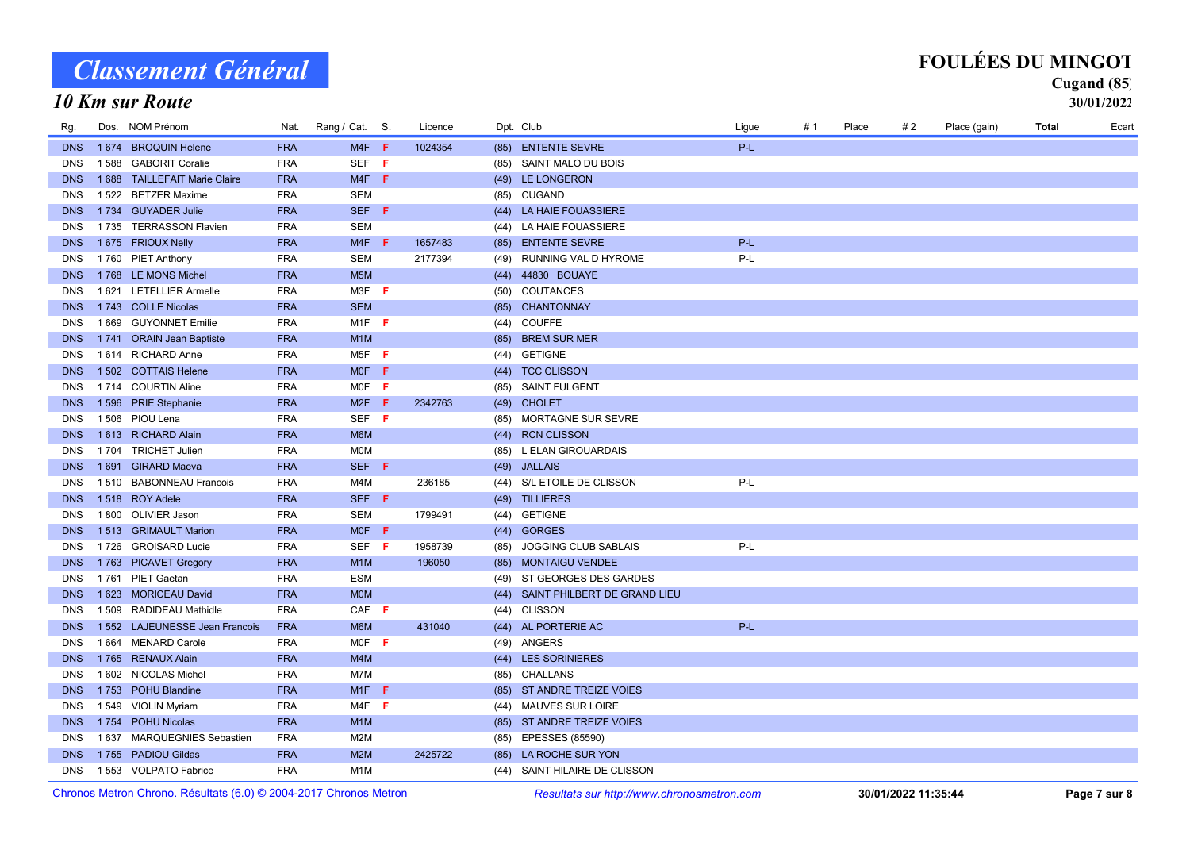### 10 Km sur Route

| <b>FOULÉES DU MINGOT</b> |
|--------------------------|
|--------------------------|

| Rg.        |         | Dos. NOM Prénom                | Nat.       | Rang / Cat. S.                | Licence |      | Dpt. Club                     | Ligue | # 1 | Place | #2 | Place (gain) | Total | Ecart |
|------------|---------|--------------------------------|------------|-------------------------------|---------|------|-------------------------------|-------|-----|-------|----|--------------|-------|-------|
| <b>DNS</b> |         | 1674 BROQUIN Helene            | <b>FRA</b> | $M4F$ F                       | 1024354 |      | (85) ENTENTE SEVRE            | P-L   |     |       |    |              |       |       |
| <b>DNS</b> |         | 1588 GABORIT Coralie           | <b>FRA</b> | SEF <sub>F</sub>              |         | (85) | SAINT MALO DU BOIS            |       |     |       |    |              |       |       |
| <b>DNS</b> |         | 1 688 TAILLEFAIT Marie Claire  | <b>FRA</b> | $M4F$ F                       |         |      | (49) LE LONGERON              |       |     |       |    |              |       |       |
| <b>DNS</b> |         | 1522 BETZER Maxime             | <b>FRA</b> | <b>SEM</b>                    |         |      | (85) CUGAND                   |       |     |       |    |              |       |       |
| <b>DNS</b> |         | 1734 GUYADER Julie             | <b>FRA</b> | SEF F                         |         |      | (44) LA HAIE FOUASSIERE       |       |     |       |    |              |       |       |
| <b>DNS</b> |         | 1735 TERRASSON Flavien         | <b>FRA</b> | <b>SEM</b>                    |         |      | (44) LA HAIE FOUASSIERE       |       |     |       |    |              |       |       |
| <b>DNS</b> |         | 1 675 FRIOUX Nelly             | <b>FRA</b> | $M4F$ F                       | 1657483 | (85) | <b>ENTENTE SEVRE</b>          | P-L   |     |       |    |              |       |       |
| <b>DNS</b> |         | 1760 PIET Anthony              | <b>FRA</b> | <b>SEM</b>                    | 2177394 | (49) | RUNNING VAL D HYROME          | $P-L$ |     |       |    |              |       |       |
| <b>DNS</b> |         | 1768 LE MONS Michel            | <b>FRA</b> | M <sub>5</sub> M              |         | (44) | 44830 BOUAYE                  |       |     |       |    |              |       |       |
| <b>DNS</b> |         | 1621 LETELLIER Armelle         | <b>FRA</b> | M3F <sub>F</sub>              |         | (50) | COUTANCES                     |       |     |       |    |              |       |       |
| <b>DNS</b> |         | 1743 COLLE Nicolas             | <b>FRA</b> | <b>SEM</b>                    |         | (85) | CHANTONNAY                    |       |     |       |    |              |       |       |
| <b>DNS</b> |         | 1 669 GUYONNET Emilie          | <b>FRA</b> | $M1F$ F                       |         | (44) | <b>COUFFE</b>                 |       |     |       |    |              |       |       |
| <b>DNS</b> |         | 1741 ORAIN Jean Baptiste       | <b>FRA</b> | M <sub>1</sub> M              |         | (85) | <b>BREM SUR MER</b>           |       |     |       |    |              |       |       |
| <b>DNS</b> |         | 1614 RICHARD Anne              | <b>FRA</b> | M <sub>5</sub> F <sub>F</sub> |         | (44) | <b>GETIGNE</b>                |       |     |       |    |              |       |       |
| <b>DNS</b> |         | 1 502 COTTAIS Helene           | <b>FRA</b> | MOF F                         |         | (44) | <b>TCC CLISSON</b>            |       |     |       |    |              |       |       |
| <b>DNS</b> |         | 1714 COURTIN Aline             | <b>FRA</b> | $MOF$ F                       |         | (85) | <b>SAINT FULGENT</b>          |       |     |       |    |              |       |       |
| <b>DNS</b> |         | 1596 PRIE Stephanie            | <b>FRA</b> | $M2F$ <b>F</b>                | 2342763 |      | (49) CHOLET                   |       |     |       |    |              |       |       |
| <b>DNS</b> |         | 1506 PIOU Lena                 | <b>FRA</b> | SEF F                         |         | (85) | MORTAGNE SUR SEVRE            |       |     |       |    |              |       |       |
| <b>DNS</b> |         | 1613 RICHARD Alain             | <b>FRA</b> | M6M                           |         | (44) | <b>RCN CLISSON</b>            |       |     |       |    |              |       |       |
| <b>DNS</b> |         | 1704 TRICHET Julien            | <b>FRA</b> | <b>MOM</b>                    |         |      | (85) L ELAN GIROUARDAIS       |       |     |       |    |              |       |       |
| <b>DNS</b> |         | 1691 GIRARD Maeva              | <b>FRA</b> | SEF F                         |         | (49) | <b>JALLAIS</b>                |       |     |       |    |              |       |       |
| <b>DNS</b> |         | 1510 BABONNEAU Francois        | <b>FRA</b> | M4M                           | 236185  |      | (44) S/L ETOILE DE CLISSON    | P-L   |     |       |    |              |       |       |
| <b>DNS</b> |         | 1518 ROY Adele                 | <b>FRA</b> | SEF F                         |         |      | (49) TILLIERES                |       |     |       |    |              |       |       |
| <b>DNS</b> |         | 1800 OLIVIER Jason             | <b>FRA</b> | <b>SEM</b>                    | 1799491 | (44) | <b>GETIGNE</b>                |       |     |       |    |              |       |       |
| <b>DNS</b> |         | 1513 GRIMAULT Marion           | <b>FRA</b> | MOF F                         |         | (44) | <b>GORGES</b>                 |       |     |       |    |              |       |       |
| <b>DNS</b> |         | 1726 GROISARD Lucie            | <b>FRA</b> | SEF F                         | 1958739 | (85) | JOGGING CLUB SABLAIS          | P-L   |     |       |    |              |       |       |
| <b>DNS</b> |         | 1763 PICAVET Gregory           | <b>FRA</b> | M <sub>1</sub> M              | 196050  |      | (85) MONTAIGU VENDEE          |       |     |       |    |              |       |       |
| <b>DNS</b> | 1 7 6 1 | PIET Gaetan                    | <b>FRA</b> | <b>ESM</b>                    |         | (49) | ST GEORGES DES GARDES         |       |     |       |    |              |       |       |
| <b>DNS</b> |         | 1 623 MORICEAU David           | <b>FRA</b> | <b>MOM</b>                    |         | (44) | SAINT PHILBERT DE GRAND LIEU  |       |     |       |    |              |       |       |
| <b>DNS</b> |         | 1 509 RADIDEAU Mathidle        | <b>FRA</b> | CAF <sub>F</sub>              |         | (44) | CLISSON                       |       |     |       |    |              |       |       |
| <b>DNS</b> |         | 1 552 LAJEUNESSE Jean Francois | <b>FRA</b> | M6M                           | 431040  |      | (44) AL PORTERIE AC           | P-L   |     |       |    |              |       |       |
| <b>DNS</b> |         | 1664 MENARD Carole             | <b>FRA</b> | $MOF$ F                       |         |      | (49) ANGERS                   |       |     |       |    |              |       |       |
| <b>DNS</b> |         | 1765 RENAUX Alain              | <b>FRA</b> | M4M                           |         |      | (44) LES SORINIERES           |       |     |       |    |              |       |       |
| <b>DNS</b> |         | 1 602 NICOLAS Michel           | <b>FRA</b> | M7M                           |         | (85) | <b>CHALLANS</b>               |       |     |       |    |              |       |       |
| <b>DNS</b> |         | 1753 POHU Blandine             | <b>FRA</b> | $M1F$ F                       |         |      | (85) ST ANDRE TREIZE VOIES    |       |     |       |    |              |       |       |
| <b>DNS</b> |         | 1549 VIOLIN Myriam             | <b>FRA</b> | $M4F$ F                       |         | (44) | <b>MAUVES SUR LOIRE</b>       |       |     |       |    |              |       |       |
| <b>DNS</b> |         | 1754 POHU Nicolas              | <b>FRA</b> | M <sub>1</sub> M              |         |      | (85) ST ANDRE TREIZE VOIES    |       |     |       |    |              |       |       |
| <b>DNS</b> |         | 1637 MARQUEGNIES Sebastien     | <b>FRA</b> | M2M                           |         |      | (85) EPESSES (85590)          |       |     |       |    |              |       |       |
| <b>DNS</b> |         | 1755 PADIOU Gildas             | <b>FRA</b> | M2M                           | 2425722 | (85) | LA ROCHE SUR YON              |       |     |       |    |              |       |       |
| <b>DNS</b> |         | 1 553 VOLPATO Fabrice          | <b>FRA</b> | M <sub>1</sub> M              |         |      | (44) SAINT HILAIRE DE CLISSON |       |     |       |    |              |       |       |